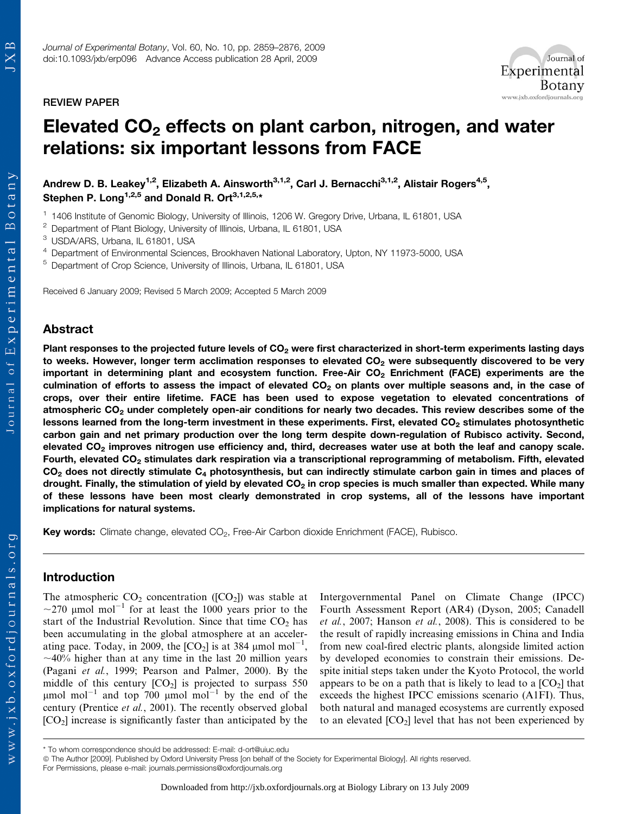REVIEW PAPER



# Elevated  $CO<sub>2</sub>$  effects on plant carbon, nitrogen, and water relations: six important lessons from FACE

Andrew D. B. Leakey<sup>1,2</sup>, Elizabeth A. Ainsworth<sup>3,1,2</sup>, Carl J. Bernacchi<sup>3,1,2</sup>, Alistair Rogers<sup>4,5</sup>, Stephen P. Long<sup>1,2,5</sup> and Donald R. Ort<sup>3,1,2,5,\*</sup>

<sup>1</sup> 1406 Institute of Genomic Biology, University of Illinois, 1206 W. Gregory Drive, Urbana, IL 61801, USA

<sup>2</sup> Department of Plant Biology, University of Illinois, Urbana, IL 61801, USA

<sup>3</sup> USDA/ARS, Urbana, IL 61801, USA

<sup>4</sup> Department of Environmental Sciences, Brookhaven National Laboratory, Upton, NY 11973-5000, USA

<sup>5</sup> Department of Crop Science, University of Illinois, Urbana, IL 61801, USA

Received 6 January 2009; Revised 5 March 2009; Accepted 5 March 2009

## Abstract

Plant responses to the projected future levels of  $CO<sub>2</sub>$  were first characterized in short-term experiments lasting days to weeks. However, longer term acclimation responses to elevated  $CO<sub>2</sub>$  were subsequently discovered to be very important in determining plant and ecosystem function. Free-Air  $CO<sub>2</sub>$  Enrichment (FACE) experiments are the culmination of efforts to assess the impact of elevated  $CO<sub>2</sub>$  on plants over multiple seasons and, in the case of crops, over their entire lifetime. FACE has been used to expose vegetation to elevated concentrations of atmospheric CO<sub>2</sub> under completely open-air conditions for nearly two decades. This review describes some of the lessons learned from the long-term investment in these experiments. First, elevated CO<sub>2</sub> stimulates photosynthetic carbon gain and net primary production over the long term despite down-regulation of Rubisco activity. Second, elevated  $CO<sub>2</sub>$  improves nitrogen use efficiency and, third, decreases water use at both the leaf and canopy scale. Fourth, elevated CO<sub>2</sub> stimulates dark respiration via a transcriptional reprogramming of metabolism. Fifth, elevated  $CO<sub>2</sub>$  does not directly stimulate  $C<sub>4</sub>$  photosynthesis, but can indirectly stimulate carbon gain in times and places of drought. Finally, the stimulation of yield by elevated  $CO<sub>2</sub>$  in crop species is much smaller than expected. While many of these lessons have been most clearly demonstrated in crop systems, all of the lessons have important implications for natural systems.

Key words: Climate change, elevated CO<sub>2</sub>, Free-Air Carbon dioxide Enrichment (FACE), Rubisco.

# Introduction

The atmospheric  $CO_2$  concentration ([CO<sub>2</sub>]) was stable at  $\sim$ 270 µmol mol<sup>-1</sup> for at least the 1000 years prior to the start of the Industrial Revolution. Since that time CO<sub>2</sub> has been accumulating in the global atmosphere at an accelerating pace. Today, in 2009, the  $[CO_2]$  is at 384 µmol mol<sup>-1</sup>,  $\sim$ 40% higher than at any time in the last 20 million years (Pagani et al., 1999; Pearson and Palmer, 2000). By the middle of this century  $[CO_2]$  is projected to surpass 550  $\mu$ mol mol<sup>-1</sup> and top 700  $\mu$ mol mol<sup>-1</sup> by the end of the century (Prentice et al., 2001). The recently observed global  $[CO<sub>2</sub>]$  increase is significantly faster than anticipated by the

Intergovernmental Panel on Climate Change (IPCC) Fourth Assessment Report (AR4) (Dyson, 2005; Canadell et al., 2007; Hanson et al., 2008). This is considered to be the result of rapidly increasing emissions in China and India from new coal-fired electric plants, alongside limited action by developed economies to constrain their emissions. Despite initial steps taken under the Kyoto Protocol, the world appears to be on a path that is likely to lead to a  $[CO<sub>2</sub>]$  that exceeds the highest IPCC emissions scenario (A1FI). Thus, both natural and managed ecosystems are currently exposed to an elevated  $[CO_2]$  level that has not been experienced by

ª The Author [2009]. Published by Oxford University Press [on behalf of the Society for Experimental Biology]. All rights reserved. For Permissions, please e-mail: journals.permissions@oxfordjournals.org

<sup>\*</sup> To whom correspondence should be addressed: E-mail: d-ort@uiuc.edu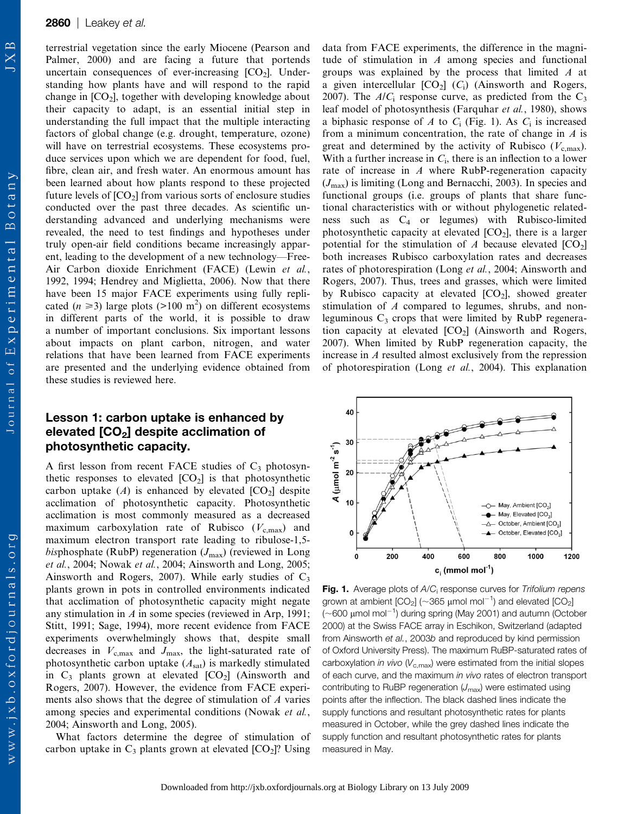terrestrial vegetation since the early Miocene (Pearson and Palmer, 2000) and are facing a future that portends uncertain consequences of ever-increasing  $[CO<sub>2</sub>]$ . Understanding how plants have and will respond to the rapid change in  $[CO_2]$ , together with developing knowledge about their capacity to adapt, is an essential initial step in understanding the full impact that the multiple interacting factors of global change (e.g. drought, temperature, ozone) will have on terrestrial ecosystems. These ecosystems produce services upon which we are dependent for food, fuel, fibre, clean air, and fresh water. An enormous amount has been learned about how plants respond to these projected future levels of  $[CO_2]$  from various sorts of enclosure studies conducted over the past three decades. As scientific understanding advanced and underlying mechanisms were revealed, the need to test findings and hypotheses under truly open-air field conditions became increasingly apparent, leading to the development of a new technology—Free-Air Carbon dioxide Enrichment (FACE) (Lewin et al., 1992, 1994; Hendrey and Miglietta, 2006). Now that there have been 15 major FACE experiments using fully replicated ( $n \ge 3$ ) large plots (>100 m<sup>2</sup>) on different ecosystems in different parts of the world, it is possible to draw a number of important conclusions. Six important lessons about impacts on plant carbon, nitrogen, and water relations that have been learned from FACE experiments are presented and the underlying evidence obtained from these studies is reviewed here.

# Lesson 1: carbon uptake is enhanced by elevated  $[CO<sub>2</sub>]$  despite acclimation of photosynthetic capacity.

A first lesson from recent FACE studies of  $C_3$  photosynthetic responses to elevated  $[CO<sub>2</sub>]$  is that photosynthetic carbon uptake  $(A)$  is enhanced by elevated  $[CO<sub>2</sub>]$  despite acclimation of photosynthetic capacity. Photosynthetic acclimation is most commonly measured as a decreased maximum carboxylation rate of Rubisco  $(V_{\text{c,max}})$  and maximum electron transport rate leading to ribulose-1,5 bisphosphate (RubP) regeneration  $(J_{\text{max}})$  (reviewed in Long et al., 2004; Nowak et al., 2004; Ainsworth and Long, 2005; Ainsworth and Rogers, 2007). While early studies of  $C_3$ plants grown in pots in controlled environments indicated that acclimation of photosynthetic capacity might negate any stimulation in  $A$  in some species (reviewed in Arp, 1991; Stitt, 1991; Sage, 1994), more recent evidence from FACE experiments overwhelmingly shows that, despite small decreases in  $V_{\text{c,max}}$  and  $J_{\text{max}}$ , the light-saturated rate of photosynthetic carbon uptake  $(A_{sat})$  is markedly stimulated in  $C_3$  plants grown at elevated  $[CO_2]$  (Ainsworth and Rogers, 2007). However, the evidence from FACE experiments also shows that the degree of stimulation of A varies among species and experimental conditions (Nowak et al., 2004; Ainsworth and Long, 2005).

What factors determine the degree of stimulation of carbon uptake in  $C_3$  plants grown at elevated  $[CO_2]$ ? Using data from FACE experiments, the difference in the magnitude of stimulation in  $A$  among species and functional groups was explained by the process that limited A at a given intercellular  $[CO_2]$  ( $C_i$ ) (Ainsworth and Rogers, 2007). The  $A/C_i$  response curve, as predicted from the  $C_3$ leaf model of photosynthesis (Farquhar et al., 1980), shows a biphasic response of A to  $C_i$  (Fig. 1). As  $C_i$  is increased from a minimum concentration, the rate of change in  $A$  is great and determined by the activity of Rubisco  $(V_{c,max})$ . With a further increase in  $C_i$ , there is an inflection to a lower rate of increase in A where RubP-regeneration capacity  $(J_{\text{max}})$  is limiting (Long and Bernacchi, 2003). In species and functional groups (i.e. groups of plants that share functional characteristics with or without phylogenetic relatedness such as C4 or legumes) with Rubisco-limited photosynthetic capacity at elevated  $[CO_2]$ , there is a larger potential for the stimulation of A because elevated  $[CO_2]$ both increases Rubisco carboxylation rates and decreases rates of photorespiration (Long et al., 2004; Ainsworth and Rogers, 2007). Thus, trees and grasses, which were limited by Rubisco capacity at elevated  $[CO_2]$ , showed greater stimulation of A compared to legumes, shrubs, and nonleguminous  $C_3$  crops that were limited by RubP regeneration capacity at elevated  $[CO_2]$  (Ainsworth and Rogers, 2007). When limited by RubP regeneration capacity, the increase in A resulted almost exclusively from the repression of photorespiration (Long et al., 2004). This explanation



Fig. 1. Average plots of A/C<sub>i</sub> response curves for Trifolium repens grown at ambient [CO<sub>2</sub>] (~365  $\mu$ mol mol $^{-1}$ ) and elevated [CO<sub>2</sub>]  $(\sim$ 600  $\mu$ mol mol $^{-1}$ ) during spring (May 2001) and autumn (October 2000) at the Swiss FACE array in Eschikon, Switzerland (adapted from Ainsworth et al., 2003b and reproduced by kind permission of Oxford University Press). The maximum RuBP-saturated rates of carboxylation in vivo  $(V_{c,max})$  were estimated from the initial slopes of each curve, and the maximum in vivo rates of electron transport contributing to RuBP regeneration  $(U_{\text{max}})$  were estimated using points after the inflection. The black dashed lines indicate the supply functions and resultant photosynthetic rates for plants measured in October, while the grey dashed lines indicate the supply function and resultant photosynthetic rates for plants measured in May.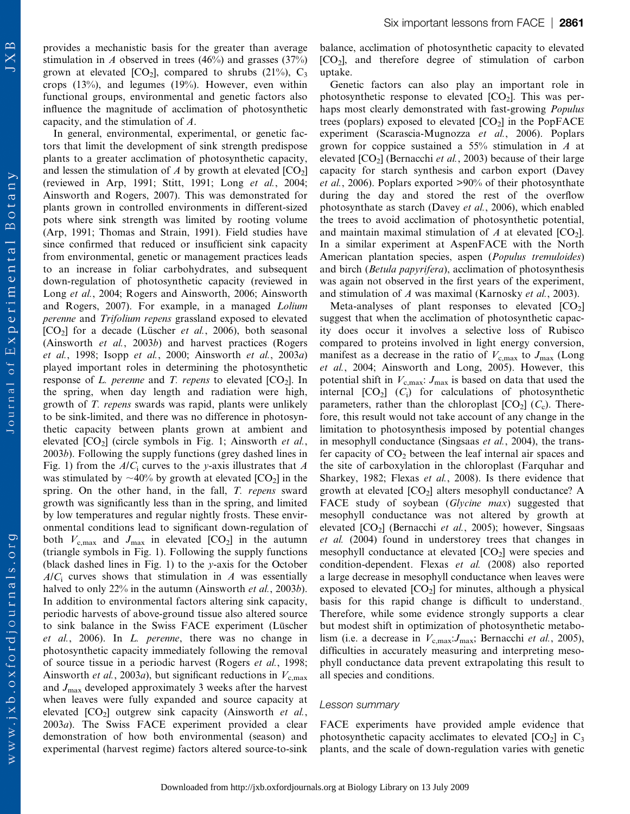provides a mechanistic basis for the greater than average stimulation in A observed in trees (46%) and grasses (37%) grown at elevated [CO<sub>2</sub>], compared to shrubs (21%), C<sub>3</sub> crops (13%), and legumes (19%). However, even within functional groups, environmental and genetic factors also influence the magnitude of acclimation of photosynthetic capacity, and the stimulation of A.

In general, environmental, experimental, or genetic factors that limit the development of sink strength predispose plants to a greater acclimation of photosynthetic capacity, and lessen the stimulation of  $\Lambda$  by growth at elevated  $[CO_2]$ (reviewed in Arp, 1991; Stitt, 1991; Long et al., 2004; Ainsworth and Rogers, 2007). This was demonstrated for plants grown in controlled environments in different-sized pots where sink strength was limited by rooting volume (Arp, 1991; Thomas and Strain, 1991). Field studies have since confirmed that reduced or insufficient sink capacity from environmental, genetic or management practices leads to an increase in foliar carbohydrates, and subsequent down-regulation of photosynthetic capacity (reviewed in Long et al., 2004; Rogers and Ainsworth, 2006; Ainsworth and Rogers, 2007). For example, in a managed Lolium perenne and Trifolium repens grassland exposed to elevated  $[CO<sub>2</sub>]$  for a decade (Lüscher *et al.*, 2006), both seasonal (Ainsworth et al., 2003b) and harvest practices (Rogers et al., 1998; Isopp et al., 2000; Ainsworth et al., 2003a) played important roles in determining the photosynthetic response of L. perenne and T. repens to elevated  $[CO_2]$ . In the spring, when day length and radiation were high, growth of T. repens swards was rapid, plants were unlikely to be sink-limited, and there was no difference in photosynthetic capacity between plants grown at ambient and elevated  $[CO_2]$  (circle symbols in Fig. 1; Ainsworth *et al.*, 2003b). Following the supply functions (grey dashed lines in Fig. 1) from the  $A/C<sub>i</sub>$  curves to the y-axis illustrates that A was stimulated by  $\sim$ 40% by growth at elevated [CO<sub>2</sub>] in the spring. On the other hand, in the fall, T. repens sward growth was significantly less than in the spring, and limited by low temperatures and regular nightly frosts. These environmental conditions lead to significant down-regulation of both  $V_{\text{c,max}}$  and  $J_{\text{max}}$  in elevated [CO<sub>2</sub>] in the autumn (triangle symbols in Fig. 1). Following the supply functions (black dashed lines in Fig. 1) to the y-axis for the October  $A/C<sub>i</sub>$  curves shows that stimulation in A was essentially halved to only 22% in the autumn (Ainsworth et al., 2003b). In addition to environmental factors altering sink capacity, periodic harvests of above-ground tissue also altered source to sink balance in the Swiss FACE experiment (Lüscher et al., 2006). In L. perenne, there was no change in photosynthetic capacity immediately following the removal of source tissue in a periodic harvest (Rogers et al., 1998; Ainsworth et al., 2003a), but significant reductions in  $V_{c,\text{max}}$ and  $J_{\text{max}}$  developed approximately 3 weeks after the harvest when leaves were fully expanded and source capacity at elevated  $[CO_2]$  outgrew sink capacity (Ainsworth *et al.*, 2003a). The Swiss FACE experiment provided a clear demonstration of how both environmental (season) and experimental (harvest regime) factors altered source-to-sink

balance, acclimation of photosynthetic capacity to elevated  $[CO<sub>2</sub>]$ , and therefore degree of stimulation of carbon uptake.

Genetic factors can also play an important role in photosynthetic response to elevated  $[CO_2]$ . This was perhaps most clearly demonstrated with fast-growing Populus trees (poplars) exposed to elevated  $[CO<sub>2</sub>]$  in the PopFACE experiment (Scarascia-Mugnozza et al., 2006). Poplars grown for coppice sustained a 55% stimulation in A at elevated  $[CO_2]$  (Bernacchi *et al.*, 2003) because of their large capacity for starch synthesis and carbon export (Davey et al., 2006). Poplars exported >90% of their photosynthate during the day and stored the rest of the overflow photosynthate as starch (Davey et al., 2006), which enabled the trees to avoid acclimation of photosynthetic potential, and maintain maximal stimulation of A at elevated  $[CO_2]$ . In a similar experiment at AspenFACE with the North American plantation species, aspen (*Populus tremuloides*) and birch (Betula papyrifera), acclimation of photosynthesis was again not observed in the first years of the experiment, and stimulation of A was maximal (Karnosky et al., 2003).

Meta-analyses of plant responses to elevated  $[CO<sub>2</sub>]$ suggest that when the acclimation of photosynthetic capacity does occur it involves a selective loss of Rubisco compared to proteins involved in light energy conversion, manifest as a decrease in the ratio of  $V_{\rm c,max}$  to  $J_{\rm max}$  (Long et al., 2004; Ainsworth and Long, 2005). However, this potential shift in  $V_{\rm c,max}$ :  $J_{\rm max}$  is based on data that used the internal  $[CO_2]$   $(C_i)$  for calculations of photosynthetic parameters, rather than the chloroplast  $[CO_2]$  ( $C_c$ ). Therefore, this result would not take account of any change in the limitation to photosynthesis imposed by potential changes in mesophyll conductance (Singsaas et al., 2004), the transfer capacity of  $CO<sub>2</sub>$  between the leaf internal air spaces and the site of carboxylation in the chloroplast (Farquhar and Sharkey, 1982; Flexas et al., 2008). Is there evidence that growth at elevated  $[CO_2]$  alters mesophyll conductance? A FACE study of soybean (Glycine max) suggested that mesophyll conductance was not altered by growth at elevated  $[CO_2]$  (Bernacchi *et al.*, 2005); however, Singsaas et al. (2004) found in understorey trees that changes in mesophyll conductance at elevated  $[CO<sub>2</sub>]$  were species and condition-dependent. Flexas et al. (2008) also reported a large decrease in mesophyll conductance when leaves were exposed to elevated  $[CO_2]$  for minutes, although a physical basis for this rapid change is difficult to understand.. Therefore, while some evidence strongly supports a clear but modest shift in optimization of photosynthetic metabolism (i.e. a decrease in  $V_{c,\text{max}}$ : J<sub>max</sub>; Bernacchi *et al.*, 2005), difficulties in accurately measuring and interpreting mesophyll conductance data prevent extrapolating this result to all species and conditions.

#### Lesson summary

FACE experiments have provided ample evidence that photosynthetic capacity acclimates to elevated  $[CO_2]$  in  $C_3$ plants, and the scale of down-regulation varies with genetic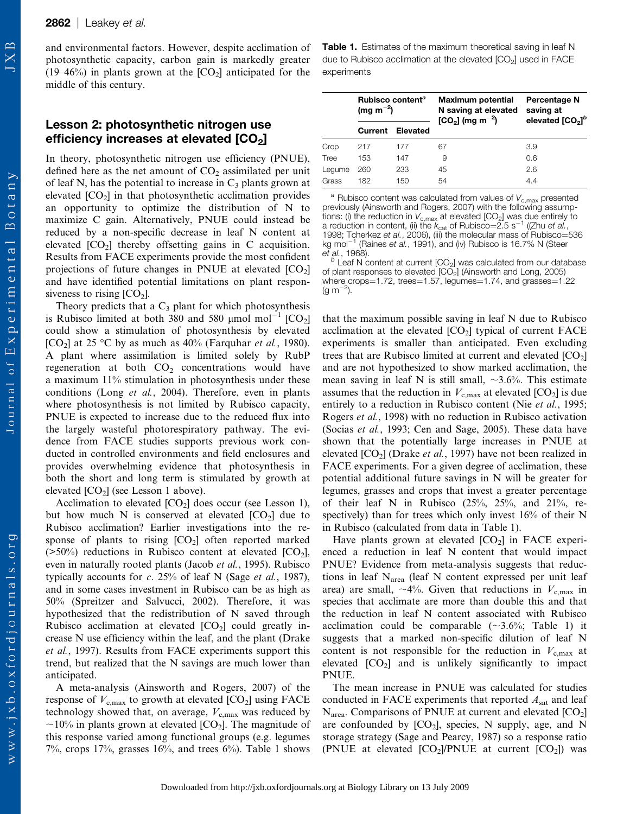Journal of Experimental Botany

 $w$  w w . j x b . o x f o r d j o u r n a l s . o r g

and environmental factors. However, despite acclimation of photosynthetic capacity, carbon gain is markedly greater (19–46%) in plants grown at the  $[CO_2]$  anticipated for the middle of this century.

# Lesson 2: photosynthetic nitrogen use efficiency increases at elevated  $[CO<sub>2</sub>]$

In theory, photosynthetic nitrogen use efficiency (PNUE), defined here as the net amount of  $CO<sub>2</sub>$  assimilated per unit of leaf N, has the potential to increase in  $C_3$  plants grown at elevated  $[CO_2]$  in that photosynthetic acclimation provides an opportunity to optimize the distribution of N to maximize C gain. Alternatively, PNUE could instead be reduced by a non-specific decrease in leaf N content at elevated  $[CO_2]$  thereby offsetting gains in C acquisition. Results from FACE experiments provide the most confident projections of future changes in PNUE at elevated  $[CO<sub>2</sub>]$ and have identified potential limitations on plant responsiveness to rising  $[CO<sub>2</sub>]$ .

Theory predicts that a  $C_3$  plant for which photosynthesis is Rubisco limited at both 380 and 580 µmol mol<sup>-1</sup>  $[CO_2]$ could show a stimulation of photosynthesis by elevated [CO<sub>2</sub>] at 25 °C by as much as 40% (Farquhar *et al.*, 1980). A plant where assimilation is limited solely by RubP regeneration at both  $CO<sub>2</sub>$  concentrations would have a maximum 11% stimulation in photosynthesis under these conditions (Long et al., 2004). Therefore, even in plants where photosynthesis is not limited by Rubisco capacity, PNUE is expected to increase due to the reduced flux into the largely wasteful photorespiratory pathway. The evidence from FACE studies supports previous work conducted in controlled environments and field enclosures and provides overwhelming evidence that photosynthesis in both the short and long term is stimulated by growth at elevated  $[CO<sub>2</sub>]$  (see Lesson 1 above).

Acclimation to elevated  $[CO_2]$  does occur (see Lesson 1), but how much N is conserved at elevated  $[CO<sub>2</sub>]$  due to Rubisco acclimation? Earlier investigations into the response of plants to rising  $[CO<sub>2</sub>]$  often reported marked  $($ >50%) reductions in Rubisco content at elevated  $[CO<sub>2</sub>]$ , even in naturally rooted plants (Jacob et al., 1995). Rubisco typically accounts for  $c$ . 25% of leaf N (Sage *et al.*, 1987), and in some cases investment in Rubisco can be as high as 50% (Spreitzer and Salvucci, 2002). Therefore, it was hypothesized that the redistribution of N saved through Rubisco acclimation at elevated  $[CO<sub>2</sub>]$  could greatly increase N use efficiency within the leaf, and the plant (Drake et al., 1997). Results from FACE experiments support this trend, but realized that the N savings are much lower than anticipated.

A meta-analysis (Ainsworth and Rogers, 2007) of the response of  $V_{\rm c,max}$  to growth at elevated [CO<sub>2</sub>] using FACE technology showed that, on average,  $V_{\text{c,max}}$  was reduced by  $\sim$ 10% in plants grown at elevated [CO<sub>2</sub>]. The magnitude of this response varied among functional groups (e.g. legumes 7%, crops  $17\%$ , grasses  $16\%$ , and trees  $6\%$ ). Table 1 shows Table 1. Estimates of the maximum theoretical saving in leaf N due to Rubisco acclimation at the elevated  $[CO<sub>2</sub>]$  used in FACE experiments

|        | Rubisco content <sup>a</sup><br>(mg m <sup>-2</sup> ) |                  | <b>Maximum potential</b><br>N saving at elevated<br>$[CO2]$ (mg m <sup>-2</sup> ) | Percentage N<br>saving at<br>elevated [CO <sub>2</sub> ] <sup>b</sup> |
|--------|-------------------------------------------------------|------------------|-----------------------------------------------------------------------------------|-----------------------------------------------------------------------|
|        |                                                       | Current Elevated |                                                                                   |                                                                       |
| Crop   | 217                                                   | 177              | 67                                                                                | 3.9                                                                   |
| Tree   | 153                                                   | 147              | 9                                                                                 | 0.6                                                                   |
| Lequme | 260                                                   | 233              | 45                                                                                | 2.6                                                                   |
| Grass  | 182                                                   | 150              | 54                                                                                | 4.4                                                                   |

 $a$  Rubisco content was calculated from values of  $V_{c,\text{max}}$  presented previously (Ainsworth and Rogers, 2007) with the following assumptions: (i) the reduction in V<sub>c,max</sub> at elevated [CO<sub>2</sub>] was due entirely to<br>a reduction in content, (ii) the k<sub>cat</sub> of Rubisco=2.5 s<sup>-1</sup> ((Zhu *et al.*, 1998; Tcherkez e*t al.*, 2006), (iii) the molecular mass of Rubisco=536<br>kg mol<sup>-1</sup> (Raines *et al.*, 1991), and (iv) Rubisco is 16.7% N (Steer

et al., 1968).<br> $b^b$  Leaf N content at current [CO<sub>2</sub>] was calculated from our database of plant responses to elevated  $[CO<sub>2</sub>]$  (Ainsworth and Long, 2005) where crops=1.72, trees=1.57, legumes=1.74, and grasses=1.22  $(g m^{-2}).$ 

that the maximum possible saving in leaf N due to Rubisco acclimation at the elevated  $[CO<sub>2</sub>]$  typical of current FACE experiments is smaller than anticipated. Even excluding trees that are Rubisco limited at current and elevated  $[CO<sub>2</sub>]$ and are not hypothesized to show marked acclimation, the mean saving in leaf N is still small,  $\sim$ 3.6%. This estimate assumes that the reduction in  $V_{c,\text{max}}$  at elevated [CO<sub>2</sub>] is due entirely to a reduction in Rubisco content (Nie et al., 1995; Rogers et al., 1998) with no reduction in Rubisco activation (Socias et al., 1993; Cen and Sage, 2005). These data have shown that the potentially large increases in PNUE at elevated  $[CO_2]$  (Drake *et al.*, 1997) have not been realized in FACE experiments. For a given degree of acclimation, these potential additional future savings in N will be greater for legumes, grasses and crops that invest a greater percentage of their leaf N in Rubisco (25%, 25%, and 21%, respectively) than for trees which only invest 16% of their N in Rubisco (calculated from data in Table 1).

Have plants grown at elevated  $[CO_2]$  in FACE experienced a reduction in leaf N content that would impact PNUE? Evidence from meta-analysis suggests that reductions in leaf  $N_{area}$  (leaf N content expressed per unit leaf area) are small,  $\sim$ 4%. Given that reductions in  $V_{c,max}$  in species that acclimate are more than double this and that the reduction in leaf N content associated with Rubisco acclimation could be comparable  $(\sim 3.6\%;$  Table 1) it suggests that a marked non-specific dilution of leaf N content is not responsible for the reduction in  $V_{c,\text{max}}$  at elevated  $[CO<sub>2</sub>]$  and is unlikely significantly to impact PNUE.

The mean increase in PNUE was calculated for studies conducted in FACE experiments that reported  $A<sub>sat</sub>$  and leaf  $N_{\text{area}}$ . Comparisons of PNUE at current and elevated  $[CO_2]$ are confounded by  $[CO_2]$ , species, N supply, age, and N storage strategy (Sage and Pearcy, 1987) so a response ratio (PNUE at elevated  $[CO_2]$ /PNUE at current  $[CO_2]$ ) was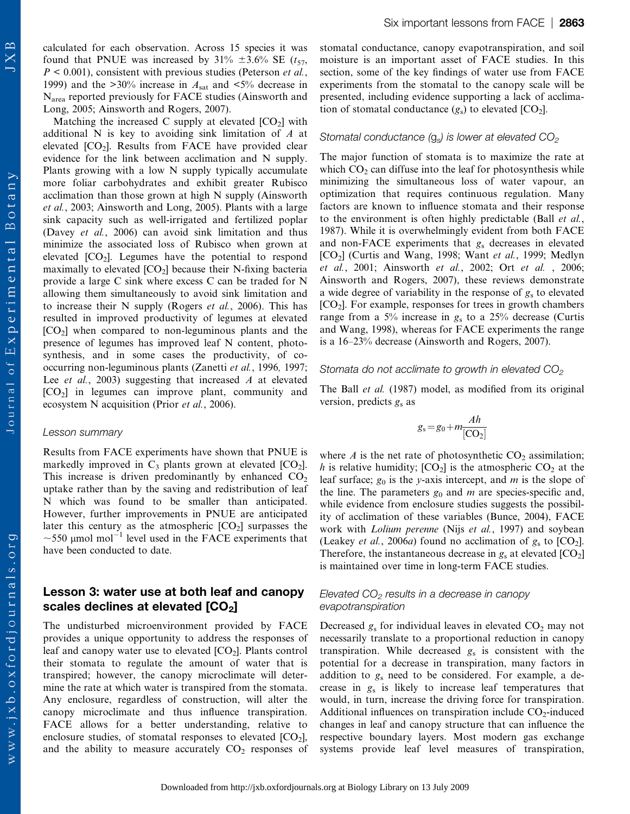www.jxb.oxfordjournals.org

calculated for each observation. Across 15 species it was found that PNUE was increased by  $31\% \pm 3.6\%$  SE ( $t_{57}$ ,  $P < 0.001$ ), consistent with previous studies (Peterson *et al.*, 1999) and the  $>30\%$  increase in  $A<sub>sat</sub>$  and  $<5\%$  decrease in Narea reported previously for FACE studies (Ainsworth and Long, 2005; Ainsworth and Rogers, 2007).

Matching the increased C supply at elevated  $[CO<sub>2</sub>]$  with additional N is key to avoiding sink limitation of A at elevated  $[CO_2]$ . Results from FACE have provided clear evidence for the link between acclimation and N supply. Plants growing with a low N supply typically accumulate more foliar carbohydrates and exhibit greater Rubisco acclimation than those grown at high N supply (Ainsworth et al., 2003; Ainsworth and Long, 2005). Plants with a large sink capacity such as well-irrigated and fertilized poplar (Davey et al., 2006) can avoid sink limitation and thus minimize the associated loss of Rubisco when grown at elevated  $[CO_2]$ . Legumes have the potential to respond maximally to elevated  $[CO_2]$  because their N-fixing bacteria provide a large C sink where excess C can be traded for N allowing them simultaneously to avoid sink limitation and to increase their N supply (Rogers et al., 2006). This has resulted in improved productivity of legumes at elevated  $[CO<sub>2</sub>]$  when compared to non-leguminous plants and the presence of legumes has improved leaf N content, photosynthesis, and in some cases the productivity, of cooccurring non-leguminous plants (Zanetti et al., 1996, 1997; Lee *et al.*, 2003) suggesting that increased  $A$  at elevated  $[CO<sub>2</sub>]$  in legumes can improve plant, community and ecosystem N acquisition (Prior et al., 2006).

#### Lesson summary

Results from FACE experiments have shown that PNUE is markedly improved in  $C_3$  plants grown at elevated  $[CO_2]$ . This increase is driven predominantly by enhanced  $CO<sub>2</sub>$ uptake rather than by the saving and redistribution of leaf N which was found to be smaller than anticipated. However, further improvements in PNUE are anticipated later this century as the atmospheric  $[CO<sub>2</sub>]$  surpasses the  $\sim$ 550 µmol mol<sup>-1</sup> level used in the FACE experiments that have been conducted to date.

# Lesson 3: water use at both leaf and canopy scales declines at elevated  $[CO<sub>2</sub>]$

The undisturbed microenvironment provided by FACE provides a unique opportunity to address the responses of leaf and canopy water use to elevated  $[CO<sub>2</sub>]$ . Plants control their stomata to regulate the amount of water that is transpired; however, the canopy microclimate will determine the rate at which water is transpired from the stomata. Any enclosure, regardless of construction, will alter the canopy microclimate and thus influence transpiration. FACE allows for a better understanding, relative to enclosure studies, of stomatal responses to elevated  $[CO<sub>2</sub>]$ , and the ability to measure accurately  $CO<sub>2</sub>$  responses of stomatal conductance, canopy evapotranspiration, and soil moisture is an important asset of FACE studies. In this section, some of the key findings of water use from FACE experiments from the stomatal to the canopy scale will be presented, including evidence supporting a lack of acclimation of stomatal conductance  $(g_s)$  to elevated  $[CO_2]$ .

#### Stomatal conductance  $(g_s)$  is lower at elevated  $CO<sub>2</sub>$

The major function of stomata is to maximize the rate at which  $CO<sub>2</sub>$  can diffuse into the leaf for photosynthesis while minimizing the simultaneous loss of water vapour, an optimization that requires continuous regulation. Many factors are known to influence stomata and their response to the environment is often highly predictable (Ball et al., 1987). While it is overwhelmingly evident from both FACE and non-FACE experiments that  $g_s$  decreases in elevated [CO<sub>2</sub>] (Curtis and Wang, 1998; Want et al., 1999; Medlyn et al., 2001; Ainsworth et al., 2002; Ort et al. , 2006; Ainsworth and Rogers, 2007), these reviews demonstrate a wide degree of variability in the response of  $g<sub>s</sub>$  to elevated  $[CO<sub>2</sub>]$ . For example, responses for trees in growth chambers range from a 5% increase in  $g_s$  to a 25% decrease (Curtis and Wang, 1998), whereas for FACE experiments the range is a 16–23% decrease (Ainsworth and Rogers, 2007).

### Stomata do not acclimate to growth in elevated  $CO<sub>2</sub>$

The Ball et al. (1987) model, as modified from its original version, predicts  $g_s$  as

$$
g_s = g_0 + m \frac{Ah}{[CO_2]}
$$

where A is the net rate of photosynthetic  $CO<sub>2</sub>$  assimilation; h is relative humidity;  $[CO_2]$  is the atmospheric  $CO_2$  at the leaf surface;  $g_0$  is the y-axis intercept, and m is the slope of the line. The parameters  $g_0$  and m are species-specific and, while evidence from enclosure studies suggests the possibility of acclimation of these variables (Bunce, 2004), FACE work with *Lolium perenne* (Nijs et al., 1997) and soybean (Leakey *et al.*, 2006*a*) found no acclimation of  $g_s$  to  $[CO_2]$ . Therefore, the instantaneous decrease in  $g_s$  at elevated  $[CO_2]$ is maintained over time in long-term FACE studies.

### Elevated  $CO<sub>2</sub>$  results in a decrease in canopy evapotranspiration

Decreased  $g_s$  for individual leaves in elevated  $CO_2$  may not necessarily translate to a proportional reduction in canopy transpiration. While decreased  $g_s$  is consistent with the potential for a decrease in transpiration, many factors in addition to  $g_s$  need to be considered. For example, a decrease in  $g_s$  is likely to increase leaf temperatures that would, in turn, increase the driving force for transpiration. Additional influences on transpiration include  $CO<sub>2</sub>$ -induced changes in leaf and canopy structure that can influence the respective boundary layers. Most modern gas exchange systems provide leaf level measures of transpiration,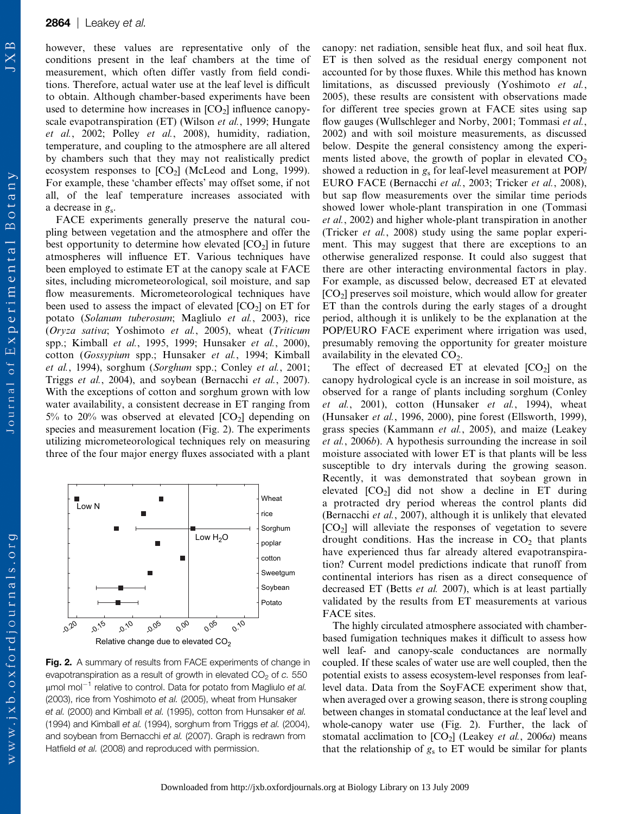however, these values are representative only of the conditions present in the leaf chambers at the time of measurement, which often differ vastly from field conditions. Therefore, actual water use at the leaf level is difficult to obtain. Although chamber-based experiments have been used to determine how increases in  $[CO<sub>2</sub>]$  influence canopyscale evapotranspiration (ET) (Wilson *et al.*, 1999; Hungate et al., 2002; Polley et al., 2008), humidity, radiation, temperature, and coupling to the atmosphere are all altered by chambers such that they may not realistically predict ecosystem responses to  $[CO_2]$  (McLeod and Long, 1999). For example, these 'chamber effects' may offset some, if not all, of the leaf temperature increases associated with a decrease in  $g_s$ .

FACE experiments generally preserve the natural coupling between vegetation and the atmosphere and offer the best opportunity to determine how elevated  $[CO<sub>2</sub>]$  in future atmospheres will influence ET. Various techniques have been employed to estimate ET at the canopy scale at FACE sites, including micrometeorological, soil moisture, and sap flow measurements. Micrometeorological techniques have been used to assess the impact of elevated  $[CO_2]$  on ET for potato (Solanum tuberosum; Magliulo et al., 2003), rice (Oryza sativa; Yoshimoto et al., 2005), wheat (Triticum spp.; Kimball et al., 1995, 1999; Hunsaker et al., 2000), cotton (Gossypium spp.; Hunsaker et al., 1994; Kimball et al., 1994), sorghum (Sorghum spp.; Conley et al., 2001; Triggs et al., 2004), and soybean (Bernacchi et al., 2007). With the exceptions of cotton and sorghum grown with low water availability, a consistent decrease in ET ranging from 5% to 20% was observed at elevated  $[CO_2]$  depending on species and measurement location (Fig. 2). The experiments utilizing micrometeorological techniques rely on measuring three of the four major energy fluxes associated with a plant



Fig. 2. A summary of results from FACE experiments of change in evapotranspiration as a result of growth in elevated  $CO<sub>2</sub>$  of c. 550  $\mu$ mol mol<sup>-1</sup> relative to control. Data for potato from Magliulo et al. (2003), rice from Yoshimoto et al. (2005), wheat from Hunsaker et al. (2000) and Kimball et al. (1995), cotton from Hunsaker et al. (1994) and Kimball et al. (1994), sorghum from Triggs et al. (2004), and soybean from Bernacchi et al. (2007). Graph is redrawn from Hatfield et al. (2008) and reproduced with permission.

canopy: net radiation, sensible heat flux, and soil heat flux. ET is then solved as the residual energy component not accounted for by those fluxes. While this method has known limitations, as discussed previously (Yoshimoto et al., 2005), these results are consistent with observations made for different tree species grown at FACE sites using sap flow gauges (Wullschleger and Norby, 2001; Tommasi et al., 2002) and with soil moisture measurements, as discussed below. Despite the general consistency among the experiments listed above, the growth of poplar in elevated  $CO<sub>2</sub>$ showed a reduction in  $g_s$  for leaf-level measurement at POP/ EURO FACE (Bernacchi et al., 2003; Tricker et al., 2008), but sap flow measurements over the similar time periods showed lower whole-plant transpiration in one (Tommasi et al., 2002) and higher whole-plant transpiration in another (Tricker et al., 2008) study using the same poplar experiment. This may suggest that there are exceptions to an otherwise generalized response. It could also suggest that there are other interacting environmental factors in play. For example, as discussed below, decreased ET at elevated  $[CO<sub>2</sub>]$  preserves soil moisture, which would allow for greater ET than the controls during the early stages of a drought period, although it is unlikely to be the explanation at the POP/EURO FACE experiment where irrigation was used, presumably removing the opportunity for greater moisture availability in the elevated  $CO<sub>2</sub>$ .

The effect of decreased ET at elevated  $[CO<sub>2</sub>]$  on the canopy hydrological cycle is an increase in soil moisture, as observed for a range of plants including sorghum (Conley  $et \ al., \ 2001$ ), cotton (Hunsaker  $et \ al., \ 1994$ ), wheat (Hunsaker et al., 1996, 2000), pine forest (Ellsworth, 1999), grass species (Kammann et al., 2005), and maize (Leakey et al., 2006b). A hypothesis surrounding the increase in soil moisture associated with lower ET is that plants will be less susceptible to dry intervals during the growing season. Recently, it was demonstrated that soybean grown in elevated  $[CO_2]$  did not show a decline in ET during a protracted dry period whereas the control plants did (Bernacchi et al., 2007), although it is unlikely that elevated  $[CO<sub>2</sub>]$  will alleviate the responses of vegetation to severe drought conditions. Has the increase in  $CO<sub>2</sub>$  that plants have experienced thus far already altered evapotranspiration? Current model predictions indicate that runoff from continental interiors has risen as a direct consequence of decreased ET (Betts et al. 2007), which is at least partially validated by the results from ET measurements at various FACE sites.

The highly circulated atmosphere associated with chamberbased fumigation techniques makes it difficult to assess how well leaf- and canopy-scale conductances are normally coupled. If these scales of water use are well coupled, then the potential exists to assess ecosystem-level responses from leaflevel data. Data from the SoyFACE experiment show that, when averaged over a growing season, there is strong coupling between changes in stomatal conductance at the leaf level and whole-canopy water use (Fig. 2). Further, the lack of stomatal acclimation to  $[CO_2]$  (Leakey *et al.*, 2006*a*) means that the relationship of  $g_s$  to ET would be similar for plants

 $\mathbb{R}$  $\overline{X}$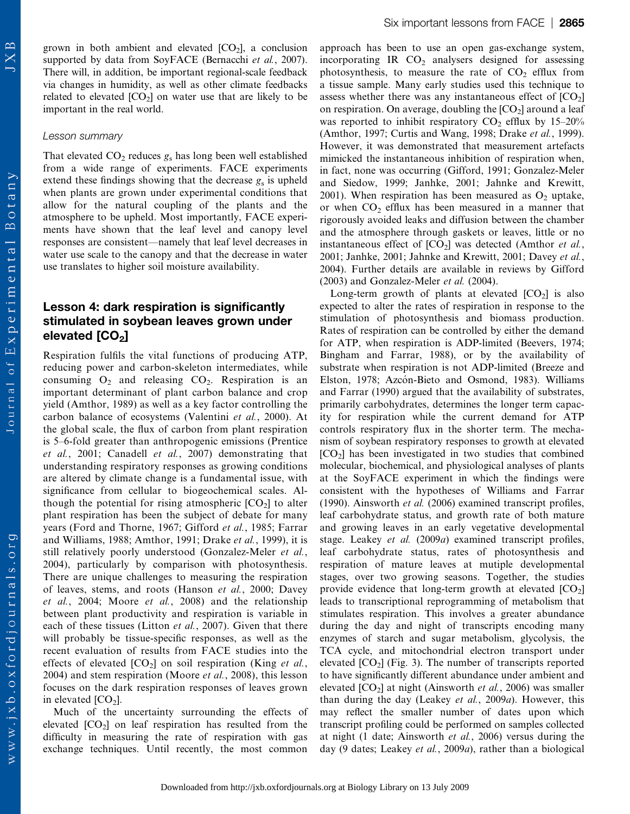JX

grown in both ambient and elevated  $[CO_2]$ , a conclusion supported by data from SoyFACE (Bernacchi et al., 2007). There will, in addition, be important regional-scale feedback via changes in humidity, as well as other climate feedbacks related to elevated  $[CO_2]$  on water use that are likely to be important in the real world.

#### Lesson summary

That elevated  $CO<sub>2</sub>$  reduces  $g<sub>s</sub>$  has long been well established from a wide range of experiments. FACE experiments extend these findings showing that the decrease  $g_s$  is upheld when plants are grown under experimental conditions that allow for the natural coupling of the plants and the atmosphere to be upheld. Most importantly, FACE experiments have shown that the leaf level and canopy level responses are consistent—namely that leaf level decreases in water use scale to the canopy and that the decrease in water use translates to higher soil moisture availability.

# Lesson 4: dark respiration is significantly stimulated in soybean leaves grown under elevated [CO<sub>2</sub>]

Respiration fulfils the vital functions of producing ATP, reducing power and carbon-skeleton intermediates, while consuming  $O_2$  and releasing  $CO_2$ . Respiration is an important determinant of plant carbon balance and crop yield (Amthor, 1989) as well as a key factor controlling the carbon balance of ecosystems (Valentini et al., 2000). At the global scale, the flux of carbon from plant respiration is 5–6-fold greater than anthropogenic emissions (Prentice et al., 2001; Canadell et al., 2007) demonstrating that understanding respiratory responses as growing conditions are altered by climate change is a fundamental issue, with significance from cellular to biogeochemical scales. Although the potential for rising atmospheric  $[CO<sub>2</sub>]$  to alter plant respiration has been the subject of debate for many years (Ford and Thorne, 1967; Gifford et al., 1985; Farrar and Williams, 1988; Amthor, 1991; Drake et al., 1999), it is still relatively poorly understood (Gonzalez-Meler et al., 2004), particularly by comparison with photosynthesis. There are unique challenges to measuring the respiration of leaves, stems, and roots (Hanson et al., 2000; Davey et al., 2004; Moore et al., 2008) and the relationship between plant productivity and respiration is variable in each of these tissues (Litton *et al.*, 2007). Given that there will probably be tissue-specific responses, as well as the recent evaluation of results from FACE studies into the effects of elevated  $[CO_2]$  on soil respiration (King *et al.*, 2004) and stem respiration (Moore et al., 2008), this lesson focuses on the dark respiration responses of leaves grown in elevated  $[CO<sub>2</sub>]$ .

Much of the uncertainty surrounding the effects of elevated  $[CO<sub>2</sub>]$  on leaf respiration has resulted from the difficulty in measuring the rate of respiration with gas exchange techniques. Until recently, the most common

approach has been to use an open gas-exchange system, incorporating IR  $CO<sub>2</sub>$  analysers designed for assessing photosynthesis, to measure the rate of  $CO<sub>2</sub>$  efflux from a tissue sample. Many early studies used this technique to assess whether there was any instantaneous effect of  $[CO<sub>2</sub>]$ on respiration. On average, doubling the  $[CO<sub>2</sub>]$  around a leaf was reported to inhibit respiratory  $CO<sub>2</sub>$  efflux by 15–20% (Amthor, 1997; Curtis and Wang, 1998; Drake et al., 1999). However, it was demonstrated that measurement artefacts mimicked the instantaneous inhibition of respiration when, in fact, none was occurring (Gifford, 1991; Gonzalez-Meler and Siedow, 1999; Janhke, 2001; Jahnke and Krewitt, 2001). When respiration has been measured as  $O_2$  uptake, or when  $CO<sub>2</sub>$  efflux has been measured in a manner that rigorously avoided leaks and diffusion between the chamber and the atmosphere through gaskets or leaves, little or no instantaneous effect of  $[CO_2]$  was detected (Amthor *et al.*, 2001; Janhke, 2001; Jahnke and Krewitt, 2001; Davey et al., 2004). Further details are available in reviews by Gifford  $(2003)$  and Gonzalez-Meler *et al.*  $(2004)$ .

Long-term growth of plants at elevated  $[CO<sub>2</sub>]$  is also expected to alter the rates of respiration in response to the stimulation of photosynthesis and biomass production. Rates of respiration can be controlled by either the demand for ATP, when respiration is ADP-limited (Beevers, 1974; Bingham and Farrar, 1988), or by the availability of substrate when respiration is not ADP-limited (Breeze and Elston, 1978; Azcón-Bieto and Osmond, 1983). Williams and Farrar (1990) argued that the availability of substrates, primarily carbohydrates, determines the longer term capacity for respiration while the current demand for ATP controls respiratory flux in the shorter term. The mechanism of soybean respiratory responses to growth at elevated [CO2] has been investigated in two studies that combined molecular, biochemical, and physiological analyses of plants at the SoyFACE experiment in which the findings were consistent with the hypotheses of Williams and Farrar (1990). Ainsworth et al. (2006) examined transcript profiles, leaf carbohydrate status, and growth rate of both mature and growing leaves in an early vegetative developmental stage. Leakey et al. (2009a) examined transcript profiles, leaf carbohydrate status, rates of photosynthesis and respiration of mature leaves at mutiple developmental stages, over two growing seasons. Together, the studies provide evidence that long-term growth at elevated  $[CO<sub>2</sub>]$ leads to transcriptional reprogramming of metabolism that stimulates respiration. This involves a greater abundance during the day and night of transcripts encoding many enzymes of starch and sugar metabolism, glycolysis, the TCA cycle, and mitochondrial electron transport under elevated  $[CO<sub>2</sub>]$  (Fig. 3). The number of transcripts reported to have significantly different abundance under ambient and elevated  $[CO_2]$  at night (Ainsworth *et al.*, 2006) was smaller than during the day (Leakey et al., 2009a). However, this may reflect the smaller number of dates upon which transcript profiling could be performed on samples collected at night (1 date; Ainsworth et al., 2006) versus during the day (9 dates; Leakey et al., 2009a), rather than a biological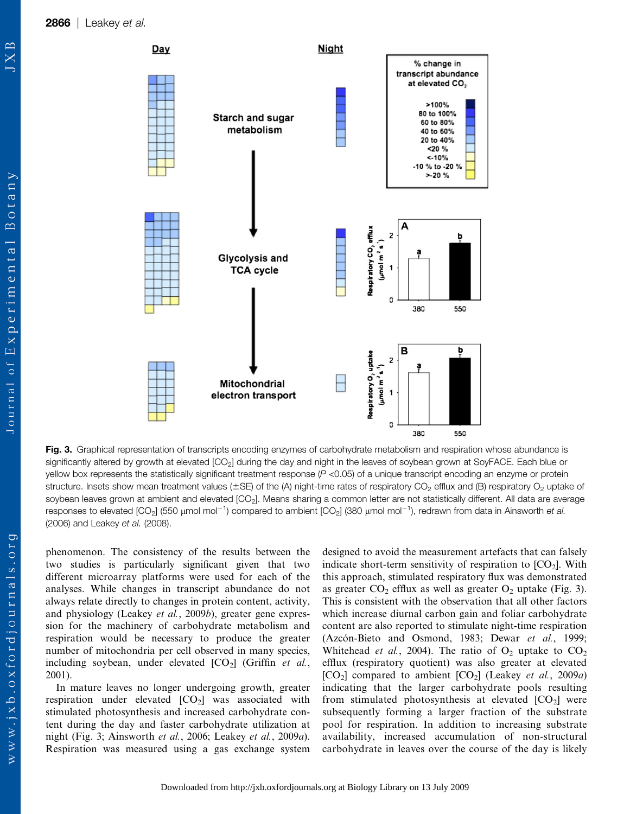

Fig. 3. Graphical representation of transcripts encoding enzymes of carbohydrate metabolism and respiration whose abundance is significantly altered by growth at elevated [CO<sub>2</sub>] during the day and night in the leaves of soybean grown at SoyFACE. Each blue or yellow box represents the statistically significant treatment response  $(P < 0.05)$  of a unique transcript encoding an enzyme or protein structure. Insets show mean treatment values ( $\pm$ SE) of the (A) night-time rates of respiratory CO<sub>2</sub> efflux and (B) respiratory O<sub>2</sub> uptake of soybean leaves grown at ambient and elevated [CO<sub>2</sub>]. Means sharing a common letter are not statistically different. All data are average responses to elevated [CO<sub>2</sub>] (550  $\mu$ mol mol $^{-1}$ ) compared to ambient [CO<sub>2</sub>] (380  $\mu$ mol mol $^{-1}$ ), redrawn from data in Ainsworth *et al.* (2006) and Leakey et al. (2008).

phenomenon. The consistency of the results between the two studies is particularly significant given that two different microarray platforms were used for each of the analyses. While changes in transcript abundance do not always relate directly to changes in protein content, activity, and physiology (Leakey et al., 2009b), greater gene expression for the machinery of carbohydrate metabolism and respiration would be necessary to produce the greater number of mitochondria per cell observed in many species, including soybean, under elevated  $[CO_2]$  (Griffin et al., 2001).

In mature leaves no longer undergoing growth, greater respiration under elevated  $[CO_2]$  was associated with stimulated photosynthesis and increased carbohydrate content during the day and faster carbohydrate utilization at night (Fig. 3; Ainsworth et al., 2006; Leakey et al., 2009a). Respiration was measured using a gas exchange system designed to avoid the measurement artefacts that can falsely indicate short-term sensitivity of respiration to  $[CO<sub>2</sub>]$ . With this approach, stimulated respiratory flux was demonstrated as greater  $CO_2$  efflux as well as greater  $O_2$  uptake (Fig. 3). This is consistent with the observation that all other factors which increase diurnal carbon gain and foliar carbohydrate content are also reported to stimulate night-time respiration (Azcón-Bieto and Osmond, 1983; Dewar et al., 1999; Whitehead et al., 2004). The ratio of  $O_2$  uptake to  $CO_2$ efflux (respiratory quotient) was also greater at elevated  $[CO_2]$  compared to ambient  $[CO_2]$  (Leakey *et al.*, 2009*a*) indicating that the larger carbohydrate pools resulting from stimulated photosynthesis at elevated  $[CO<sub>2</sub>]$  were subsequently forming a larger fraction of the substrate pool for respiration. In addition to increasing substrate availability, increased accumulation of non-structural carbohydrate in leaves over the course of the day is likely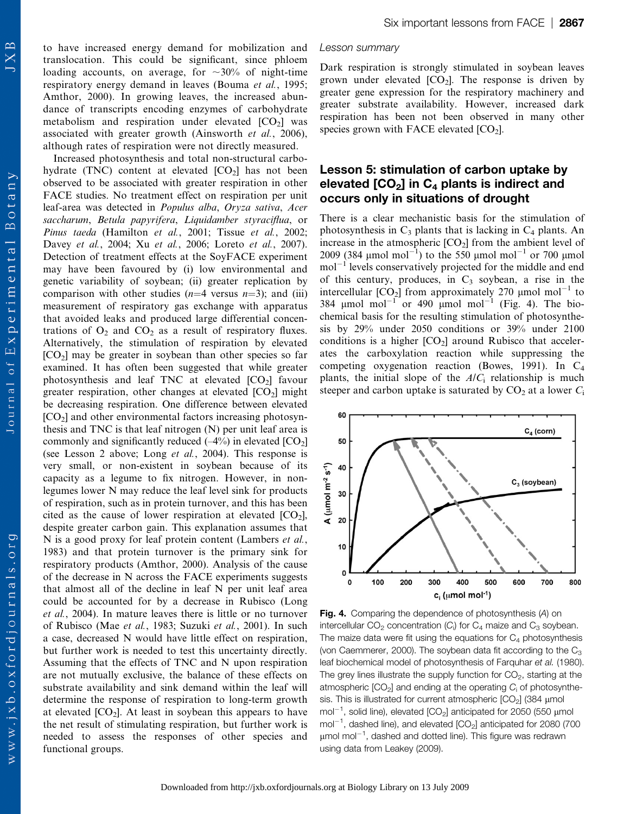Journal of Experimental Botany

 $w$  w w . j x b . o x f o r d j o u r n a l s . o r g

to have increased energy demand for mobilization and translocation. This could be significant, since phloem loading accounts, on average, for  $\sim 30\%$  of night-time respiratory energy demand in leaves (Bouma et al., 1995; Amthor, 2000). In growing leaves, the increased abundance of transcripts encoding enzymes of carbohydrate metabolism and respiration under elevated  $[CO<sub>2</sub>]$  was associated with greater growth (Ainsworth et al., 2006), although rates of respiration were not directly measured.

Increased photosynthesis and total non-structural carbohydrate (TNC) content at elevated  $[CO<sub>2</sub>]$  has not been observed to be associated with greater respiration in other FACE studies. No treatment effect on respiration per unit leaf-area was detected in Populus alba, Oryza sativa, Acer saccharum, Betula papyrifera, Liquidamber styraciflua, or Pinus taeda (Hamilton et al., 2001; Tissue et al., 2002; Davey et al., 2004; Xu et al., 2006; Loreto et al., 2007). Detection of treatment effects at the SoyFACE experiment may have been favoured by (i) low environmental and genetic variability of soybean; (ii) greater replication by comparison with other studies  $(n=4$  versus  $n=3)$ ; and (iii) measurement of respiratory gas exchange with apparatus that avoided leaks and produced large differential concentrations of  $O_2$  and  $CO_2$  as a result of respiratory fluxes. Alternatively, the stimulation of respiration by elevated  $[CO<sub>2</sub>]$  may be greater in soybean than other species so far examined. It has often been suggested that while greater photosynthesis and leaf TNC at elevated  $[CO<sub>2</sub>]$  favour greater respiration, other changes at elevated  $[CO<sub>2</sub>]$  might be decreasing respiration. One difference between elevated  $[CO<sub>2</sub>]$  and other environmental factors increasing photosynthesis and TNC is that leaf nitrogen (N) per unit leaf area is commonly and significantly reduced  $(-4%)$  in elevated  $[CO<sub>2</sub>]$ (see Lesson 2 above; Long et al., 2004). This response is very small, or non-existent in soybean because of its capacity as a legume to fix nitrogen. However, in nonlegumes lower N may reduce the leaf level sink for products of respiration, such as in protein turnover, and this has been cited as the cause of lower respiration at elevated  $[CO_2]$ , despite greater carbon gain. This explanation assumes that N is a good proxy for leaf protein content (Lambers *et al.*, 1983) and that protein turnover is the primary sink for respiratory products (Amthor, 2000). Analysis of the cause of the decrease in N across the FACE experiments suggests that almost all of the decline in leaf N per unit leaf area could be accounted for by a decrease in Rubisco (Long et al., 2004). In mature leaves there is little or no turnover of Rubisco (Mae et al., 1983; Suzuki et al., 2001). In such a case, decreased N would have little effect on respiration, but further work is needed to test this uncertainty directly. Assuming that the effects of TNC and N upon respiration are not mutually exclusive, the balance of these effects on substrate availability and sink demand within the leaf will determine the response of respiration to long-term growth at elevated  $[CO_2]$ . At least in soybean this appears to have the net result of stimulating respiration, but further work is needed to assess the responses of other species and functional groups.

#### Lesson summary

Dark respiration is strongly stimulated in soybean leaves grown under elevated  $[CO_2]$ . The response is driven by greater gene expression for the respiratory machinery and greater substrate availability. However, increased dark respiration has been not been observed in many other species grown with FACE elevated  $[CO<sub>2</sub>]$ .

# Lesson 5: stimulation of carbon uptake by elevated  $[CO<sub>2</sub>]$  in  $C<sub>4</sub>$  plants is indirect and occurs only in situations of drought

There is a clear mechanistic basis for the stimulation of photosynthesis in  $C_3$  plants that is lacking in  $C_4$  plants. An increase in the atmospheric  $[CO<sub>2</sub>]$  from the ambient level of 2009 (384 µmol mol<sup>-1</sup>) to the 550 µmol mol<sup>-1</sup> or 700 µmol  $mol<sup>-1</sup>$  levels conservatively projected for the middle and end of this century, produces, in  $C_3$  soybean, a rise in the intercellular  $[CO_2]$  from approximately 270 µmol mol<sup>-1</sup> to 384  $\mu$ mol mol<sup>-1</sup> or 490  $\mu$ mol mol<sup>-1</sup> (Fig. 4). The biochemical basis for the resulting stimulation of photosynthesis by 29% under 2050 conditions or 39% under 2100 conditions is a higher  $[CO_2]$  around Rubisco that accelerates the carboxylation reaction while suppressing the competing oxygenation reaction (Bowes, 1991). In C4 plants, the initial slope of the  $A/C<sub>i</sub>$  relationship is much steeper and carbon uptake is saturated by  $CO<sub>2</sub>$  at a lower  $C<sub>i</sub>$ 



Fig. 4. Comparing the dependence of photosynthesis (A) on intercellular CO<sub>2</sub> concentration (C<sub>i</sub>) for C<sub>4</sub> maize and C<sub>3</sub> soybean. The maize data were fit using the equations for  $C_4$  photosynthesis (von Caemmerer, 2000). The soybean data fit according to the  $C_3$ leaf biochemical model of photosynthesis of Farquhar et al. (1980). The grey lines illustrate the supply function for  $CO<sub>2</sub>$ , starting at the atmospheric  $[CO_2]$  and ending at the operating  $C_i$  of photosynthesis. This is illustrated for current atmospheric  $[CO<sub>2</sub>]$  (384 µmol mol $^{-1}$ , solid line), elevated [CO<sub>2</sub>] anticipated for 2050 (550  $\mu$ mol mol $^{-1}$ , dashed line), and elevated  $\text{[CO}_2\text{]}$  anticipated for 2080 (700  $\mu$ mol mol $^{-1}$ , dashed and dotted line). This figure was redrawn using data from Leakey (2009).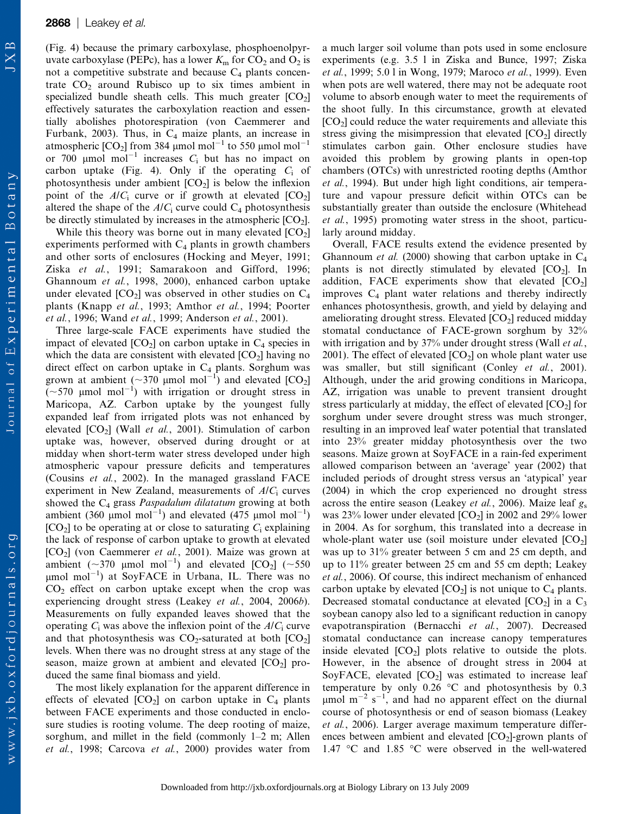(Fig. 4) because the primary carboxylase, phosphoenolpyruvate carboxylase (PEPc), has a lower  $K<sub>m</sub>$  for  $CO<sub>2</sub>$  and  $O<sub>2</sub>$  is not a competitive substrate and because  $C_4$  plants concentrate  $CO<sub>2</sub>$  around Rubisco up to six times ambient in specialized bundle sheath cells. This much greater  $[CO<sub>2</sub>]$ effectively saturates the carboxylation reaction and essentially abolishes photorespiration (von Caemmerer and Furbank, 2003). Thus, in  $C_4$  maize plants, an increase in atmospheric  $[CO_2]$  from 384 µmol mol<sup>-1</sup> to 550 µmol mol<sup>-1</sup> or 700  $\mu$ mol mol<sup>-1</sup> increases C<sub>i</sub> but has no impact on carbon uptake (Fig. 4). Only if the operating  $C_i$  of photosynthesis under ambient  $[CO_2]$  is below the inflexion point of the  $A/C<sub>i</sub>$  curve or if growth at elevated  $[CO<sub>2</sub>]$ altered the shape of the  $A/C_i$  curve could  $C_4$  photosynthesis be directly stimulated by increases in the atmospheric  $[CO<sub>2</sub>]$ .

While this theory was borne out in many elevated  $[CO<sub>2</sub>]$ experiments performed with  $C_4$  plants in growth chambers and other sorts of enclosures (Hocking and Meyer, 1991; Ziska et al., 1991; Samarakoon and Gifford, 1996; Ghannoum et al., 1998, 2000), enhanced carbon uptake under elevated  $[CO_2]$  was observed in other studies on  $C_4$ plants (Knapp et al., 1993; Amthor et al., 1994; Poorter et al., 1996; Wand et al., 1999; Anderson et al., 2001).

Three large-scale FACE experiments have studied the impact of elevated  $[CO_2]$  on carbon uptake in  $C_4$  species in which the data are consistent with elevated  $[CO<sub>2</sub>]$  having no direct effect on carbon uptake in  $C_4$  plants. Sorghum was grown at ambient (~370 µmol mol<sup>-1</sup>) and elevated [CO<sub>2</sub>]  $(\sim 570 \text{ }\mu\text{mol mol}^{-1})$  with irrigation or drought stress in Maricopa, AZ. Carbon uptake by the youngest fully expanded leaf from irrigated plots was not enhanced by elevated  $[CO_2]$  (Wall *et al.*, 2001). Stimulation of carbon uptake was, however, observed during drought or at midday when short-term water stress developed under high atmospheric vapour pressure deficits and temperatures (Cousins et al., 2002). In the managed grassland FACE experiment in New Zealand, measurements of  $A/C<sub>i</sub>$  curves showed the  $C_4$  grass *Paspadalum dilatatum* growing at both ambient (360  $\mu$ mol mol<sup>-1</sup>) and elevated (475  $\mu$ mol mol<sup>-1</sup>)  $[CO<sub>2</sub>]$  to be operating at or close to saturating  $C<sub>i</sub>$  explaining the lack of response of carbon uptake to growth at elevated [CO2] (von Caemmerer et al., 2001). Maize was grown at ambient  $({\sim}370 \text{ \mu mol mol}^{-1})$  and elevated  $[CO_2]$  ( ${\sim}550$  $\mu$ mol mol<sup>-1</sup>) at SoyFACE in Urbana, IL. There was no  $CO<sub>2</sub>$  effect on carbon uptake except when the crop was experiencing drought stress (Leakey *et al.*, 2004, 2006*b*). Measurements on fully expanded leaves showed that the operating  $C_i$  was above the inflexion point of the  $A/C_i$  curve and that photosynthesis was  $CO_2$ -saturated at both  $[CO_2]$ levels. When there was no drought stress at any stage of the season, maize grown at ambient and elevated  $[CO<sub>2</sub>]$  produced the same final biomass and yield.

The most likely explanation for the apparent difference in effects of elevated  $[CO_2]$  on carbon uptake in  $C_4$  plants between FACE experiments and those conducted in enclosure studies is rooting volume. The deep rooting of maize, sorghum, and millet in the field (commonly 1–2 m; Allen et al., 1998; Carcova et al., 2000) provides water from a much larger soil volume than pots used in some enclosure experiments (e.g. 3.5 l in Ziska and Bunce, 1997; Ziska et al., 1999; 5.0 l in Wong, 1979; Maroco et al., 1999). Even when pots are well watered, there may not be adequate root volume to absorb enough water to meet the requirements of the shoot fully. In this circumstance, growth at elevated  $[CO<sub>2</sub>]$  could reduce the water requirements and alleviate this stress giving the misimpression that elevated  $[CO<sub>2</sub>]$  directly stimulates carbon gain. Other enclosure studies have avoided this problem by growing plants in open-top chambers (OTCs) with unrestricted rooting depths (Amthor et al., 1994). But under high light conditions, air temperature and vapour pressure deficit within OTCs can be substantially greater than outside the enclosure (Whitehead et al., 1995) promoting water stress in the shoot, particularly around midday.

Overall, FACE results extend the evidence presented by Ghannoum *et al.* (2000) showing that carbon uptake in  $C_4$ plants is not directly stimulated by elevated  $[CO<sub>2</sub>]$ . In addition, FACE experiments show that elevated  $[CO<sub>2</sub>]$ improves  $C_4$  plant water relations and thereby indirectly enhances photosynthesis, growth, and yield by delaying and ameliorating drought stress. Elevated  $[CO<sub>2</sub>]$  reduced midday stomatal conductance of FACE-grown sorghum by 32% with irrigation and by 37% under drought stress (Wall et al., 2001). The effect of elevated  $[CO_2]$  on whole plant water use was smaller, but still significant (Conley et al., 2001). Although, under the arid growing conditions in Maricopa, AZ, irrigation was unable to prevent transient drought stress particularly at midday, the effect of elevated  $[CO<sub>2</sub>]$  for sorghum under severe drought stress was much stronger, resulting in an improved leaf water potential that translated into 23% greater midday photosynthesis over the two seasons. Maize grown at SoyFACE in a rain-fed experiment allowed comparison between an 'average' year (2002) that included periods of drought stress versus an 'atypical' year (2004) in which the crop experienced no drought stress across the entire season (Leakey et al., 2006). Maize leaf  $g_s$ was 23% lower under elevated  $[CO_2]$  in 2002 and 29% lower in 2004. As for sorghum, this translated into a decrease in whole-plant water use (soil moisture under elevated  $[CO<sub>2</sub>]$ was up to 31% greater between 5 cm and 25 cm depth, and up to 11% greater between 25 cm and 55 cm depth; Leakey et al., 2006). Of course, this indirect mechanism of enhanced carbon uptake by elevated  $[CO<sub>2</sub>]$  is not unique to  $C<sub>4</sub>$  plants. Decreased stomatal conductance at elevated  $[CO_2]$  in a  $C_3$ soybean canopy also led to a significant reduction in canopy evapotranspiration (Bernacchi et al., 2007). Decreased stomatal conductance can increase canopy temperatures inside elevated  $[CO_2]$  plots relative to outside the plots. However, in the absence of drought stress in 2004 at SoyFACE, elevated  $[CO<sub>2</sub>]$  was estimated to increase leaf temperature by only  $0.26$  °C and photosynthesis by 0.3  $\mu$ mol m<sup>-2</sup> s<sup>-1</sup>, and had no apparent effect on the diurnal course of photosynthesis or end of season biomass (Leakey et al., 2006). Larger average maximum temperature differences between ambient and elevated  $[CO<sub>2</sub>]$ -grown plants of 1.47  $\degree$ C and 1.85  $\degree$ C were observed in the well-watered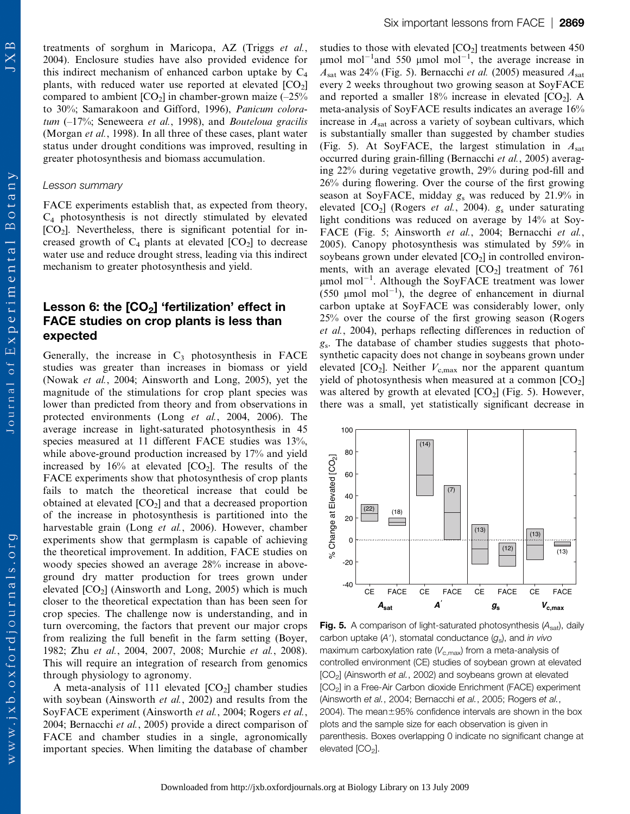Journal of Experimental Botany

treatments of sorghum in Maricopa, AZ (Triggs et al., 2004). Enclosure studies have also provided evidence for this indirect mechanism of enhanced carbon uptake by  $C_4$ plants, with reduced water use reported at elevated  $[CO<sub>2</sub>]$ compared to ambient  $[CO_2]$  in chamber-grown maize  $(-25\%$ to 30%; Samarakoon and Gifford, 1996), Panicum coloratum  $(-17\%)$ ; Seneweera *et al.*, 1998), and *Bouteloua gracilis* (Morgan et al., 1998). In all three of these cases, plant water status under drought conditions was improved, resulting in greater photosynthesis and biomass accumulation.

### Lesson summary

FACE experiments establish that, as expected from theory,  $C_4$  photosynthesis is not directly stimulated by elevated  $[CO<sub>2</sub>]$ . Nevertheless, there is significant potential for increased growth of  $C_4$  plants at elevated  $[CO_2]$  to decrease water use and reduce drought stress, leading via this indirect mechanism to greater photosynthesis and yield.

# Lesson 6: the  $[CO<sub>2</sub>]$  'fertilization' effect in FACE studies on crop plants is less than expected

Generally, the increase in  $C_3$  photosynthesis in FACE studies was greater than increases in biomass or yield (Nowak et al., 2004; Ainsworth and Long, 2005), yet the magnitude of the stimulations for crop plant species was lower than predicted from theory and from observations in protected environments (Long et al., 2004, 2006). The average increase in light-saturated photosynthesis in 45 species measured at 11 different FACE studies was 13%, while above-ground production increased by 17% and yield increased by  $16\%$  at elevated  $[CO_2]$ . The results of the FACE experiments show that photosynthesis of crop plants fails to match the theoretical increase that could be obtained at elevated  $[CO_2]$  and that a decreased proportion of the increase in photosynthesis is partitioned into the harvestable grain (Long et al., 2006). However, chamber experiments show that germplasm is capable of achieving the theoretical improvement. In addition, FACE studies on woody species showed an average 28% increase in aboveground dry matter production for trees grown under elevated  $[CO_2]$  (Ainsworth and Long, 2005) which is much closer to the theoretical expectation than has been seen for crop species. The challenge now is understanding, and in turn overcoming, the factors that prevent our major crops from realizing the full benefit in the farm setting (Boyer, 1982; Zhu et al., 2004, 2007, 2008; Murchie et al., 2008). This will require an integration of research from genomics through physiology to agronomy.

A meta-analysis of 111 elevated  $[CO<sub>2</sub>]$  chamber studies with soybean (Ainsworth *et al.*, 2002) and results from the SoyFACE experiment (Ainsworth et al., 2004; Rogers et al., 2004; Bernacchi et al., 2005) provide a direct comparison of FACE and chamber studies in a single, agronomically important species. When limiting the database of chamber

studies to those with elevated  $[CO<sub>2</sub>]$  treatments between 450  $\mu$ mol mol<sup>-1</sup> and 550  $\mu$ mol mol<sup>-1</sup>, the average increase in  $A<sub>sat</sub>$  was 24% (Fig. 5). Bernacchi et al. (2005) measured  $A<sub>sat</sub>$ every 2 weeks throughout two growing season at SoyFACE and reported a smaller  $18\%$  increase in elevated  $[CO_2]$ . A meta-analysis of SoyFACE results indicates an average 16% increase in  $A<sub>sat</sub>$  across a variety of soybean cultivars, which is substantially smaller than suggested by chamber studies (Fig. 5). At SoyFACE, the largest stimulation in  $A_{sat}$ occurred during grain-filling (Bernacchi et al., 2005) averaging 22% during vegetative growth, 29% during pod-fill and 26% during flowering. Over the course of the first growing season at SoyFACE, midday g<sup>s</sup> was reduced by 21.9% in elevated  $[CO_2]$  (Rogers et al., 2004).  $g_s$  under saturating light conditions was reduced on average by 14% at Soy-FACE (Fig. 5; Ainsworth et al., 2004; Bernacchi et al., 2005). Canopy photosynthesis was stimulated by 59% in soybeans grown under elevated  $[CO<sub>2</sub>]$  in controlled environments, with an average elevated  $[CO<sub>2</sub>]$  treatment of 761  $\mu$ mol mol<sup>-1</sup>. Although the SoyFACE treatment was lower  $(550 \text{ }\mu\text{mol mol}^{-1})$ , the degree of enhancement in diurnal carbon uptake at SoyFACE was considerably lower, only 25% over the course of the first growing season (Rogers et al., 2004), perhaps reflecting differences in reduction of gs. The database of chamber studies suggests that photosynthetic capacity does not change in soybeans grown under elevated  $[CO_2]$ . Neither  $V_{c,max}$  nor the apparent quantum yield of photosynthesis when measured at a common  $[CO<sub>2</sub>]$ was altered by growth at elevated  $[CO<sub>2</sub>]$  (Fig. 5). However, there was a small, yet statistically significant decrease in



**Fig. 5.** A comparison of light-saturated photosynthesis  $(A_{sat})$ , daily carbon uptake (A'), stomatal conductance (g<sub>s</sub>), and in vivo maximum carboxylation rate ( $V_{c,\text{max}}$ ) from a meta-analysis of controlled environment (CE) studies of soybean grown at elevated [CO2] (Ainsworth et al., 2002) and soybeans grown at elevated [CO2] in a Free-Air Carbon dioxide Enrichment (FACE) experiment (Ainsworth et al., 2004; Bernacchi et al., 2005; Rogers et al., 2004). The mean $\pm 95\%$  confidence intervals are shown in the box plots and the sample size for each observation is given in parenthesis. Boxes overlapping 0 indicate no significant change at elevated  $[CO<sub>2</sub>]$ .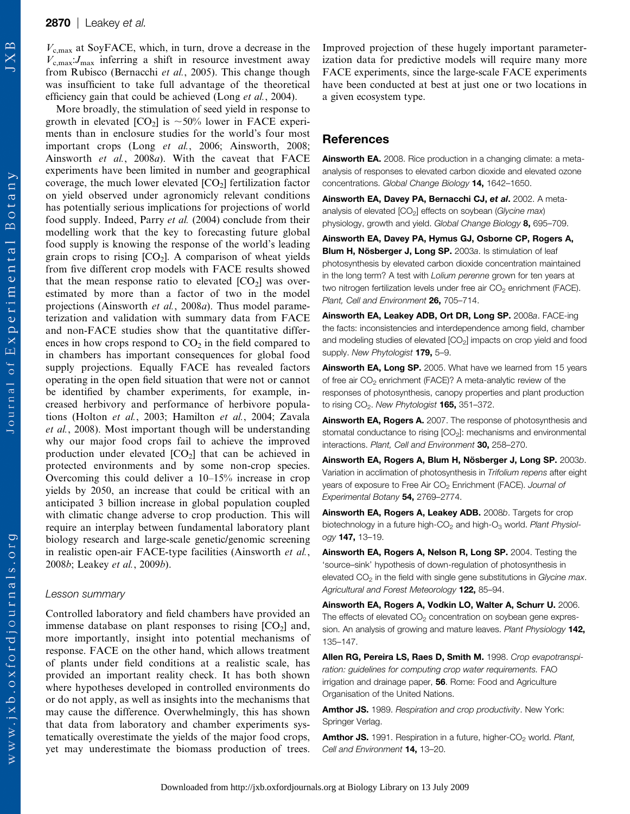$V_{c,max}$  at SoyFACE, which, in turn, drove a decrease in the  $V_{\rm c,max}$ :  $J_{\rm max}$  inferring a shift in resource investment away from Rubisco (Bernacchi et al., 2005). This change though was insufficient to take full advantage of the theoretical efficiency gain that could be achieved (Long *et al.*, 2004).

More broadly, the stimulation of seed yield in response to growth in elevated  $[CO_2]$  is  $\sim 50\%$  lower in FACE experiments than in enclosure studies for the world's four most important crops (Long et al., 2006; Ainsworth, 2008; Ainsworth et al., 2008a). With the caveat that FACE experiments have been limited in number and geographical coverage, the much lower elevated  $[CO_2]$  fertilization factor on yield observed under agronomicly relevant conditions has potentially serious implications for projections of world food supply. Indeed, Parry et al. (2004) conclude from their modelling work that the key to forecasting future global food supply is knowing the response of the world's leading grain crops to rising  $[CO<sub>2</sub>]$ . A comparison of wheat yields from five different crop models with FACE results showed that the mean response ratio to elevated  $[CO<sub>2</sub>]$  was overestimated by more than a factor of two in the model projections (Ainsworth *et al.*, 2008*a*). Thus model parameterization and validation with summary data from FACE and non-FACE studies show that the quantitative differences in how crops respond to  $CO<sub>2</sub>$  in the field compared to in chambers has important consequences for global food supply projections. Equally FACE has revealed factors operating in the open field situation that were not or cannot be identified by chamber experiments, for example, increased herbivory and performance of herbivore populations (Holton et al., 2003; Hamilton et al., 2004; Zavala et al., 2008). Most important though will be understanding why our major food crops fail to achieve the improved production under elevated  $[CO_2]$  that can be achieved in protected environments and by some non-crop species. Overcoming this could deliver a 10–15% increase in crop yields by 2050, an increase that could be critical with an anticipated 3 billion increase in global population coupled with climatic change adverse to crop production. This will require an interplay between fundamental laboratory plant biology research and large-scale genetic/genomic screening in realistic open-air FACE-type facilities (Ainsworth et al., 2008b; Leakey et al., 2009b).

#### Lesson summary

Controlled laboratory and field chambers have provided an immense database on plant responses to rising  $[CO<sub>2</sub>]$  and, more importantly, insight into potential mechanisms of response. FACE on the other hand, which allows treatment of plants under field conditions at a realistic scale, has provided an important reality check. It has both shown where hypotheses developed in controlled environments do or do not apply, as well as insights into the mechanisms that may cause the difference. Overwhelmingly, this has shown that data from laboratory and chamber experiments systematically overestimate the yields of the major food crops, yet may underestimate the biomass production of trees.

Improved projection of these hugely important parameterization data for predictive models will require many more FACE experiments, since the large-scale FACE experiments have been conducted at best at just one or two locations in a given ecosystem type.

# **References**

Ainsworth EA. 2008. Rice production in a changing climate: a metaanalysis of responses to elevated carbon dioxide and elevated ozone concentrations. Global Change Biology 14, 1642–1650.

Ainsworth EA, Davey PA, Bernacchi CJ, et al. 2002. A metaanalysis of elevated  $[CO<sub>2</sub>]$  effects on soybean (Glycine max) physiology, growth and yield. Global Change Biology 8, 695-709.

Ainsworth EA, Davey PA, Hymus GJ, Osborne CP, Rogers A, Blum H, Nösberger J, Long SP. 2003a. Is stimulation of leaf photosynthesis by elevated carbon dioxide concentration maintained in the long term? A test with Lolium perenne grown for ten years at two nitrogen fertilization levels under free air  $CO<sub>2</sub>$  enrichment (FACE). Plant, Cell and Environment 26, 705-714.

Ainsworth EA, Leakey ADB, Ort DR, Long SP. 2008a. FACE-ing the facts: inconsistencies and interdependence among field, chamber and modeling studies of elevated [CO<sub>2</sub>] impacts on crop yield and food supply. New Phytologist 179, 5-9.

Ainsworth EA, Long SP. 2005. What have we learned from 15 years of free air CO<sub>2</sub> enrichment (FACE)? A meta-analytic review of the responses of photosynthesis, canopy properties and plant production to rising  $CO<sub>2</sub>$ . New Phytologist 165, 351-372.

Ainsworth EA, Rogers A. 2007. The response of photosynthesis and stomatal conductance to rising [CO<sub>2</sub>]: mechanisms and environmental interactions. Plant, Cell and Environment 30, 258-270.

Ainsworth EA, Rogers A, Blum H, Nösberger J, Long SP. 2003b. Variation in acclimation of photosynthesis in Trifolium repens after eight years of exposure to Free Air  $CO<sub>2</sub>$  Enrichment (FACE). Journal of Experimental Botany 54, 2769–2774.

Ainsworth EA, Rogers A, Leakey ADB. 2008b. Targets for crop biotechnology in a future high- $CO<sub>2</sub>$  and high- $O<sub>3</sub>$  world. Plant Physiology 147, 13–19.

Ainsworth EA, Rogers A, Nelson R, Long SP. 2004. Testing the 'source–sink' hypothesis of down-regulation of photosynthesis in elevated  $CO<sub>2</sub>$  in the field with single gene substitutions in Glycine max. Agricultural and Forest Meteorology 122, 85-94.

Ainsworth EA, Rogers A, Vodkin LO, Walter A, Schurr U. 2006. The effects of elevated  $CO<sub>2</sub>$  concentration on soybean gene expression. An analysis of growing and mature leaves. Plant Physiology 142, 135–147.

Allen RG, Pereira LS, Raes D, Smith M. 1998. Crop evapotranspiration: guidelines for computing crop water requirements. FAO irrigation and drainage paper, 56. Rome: Food and Agriculture Organisation of the United Nations.

Amthor JS. 1989. Respiration and crop productivity. New York: Springer Verlag.

Amthor JS. 1991. Respiration in a future, higher-CO<sub>2</sub> world. Plant, Cell and Environment 14, 13–20.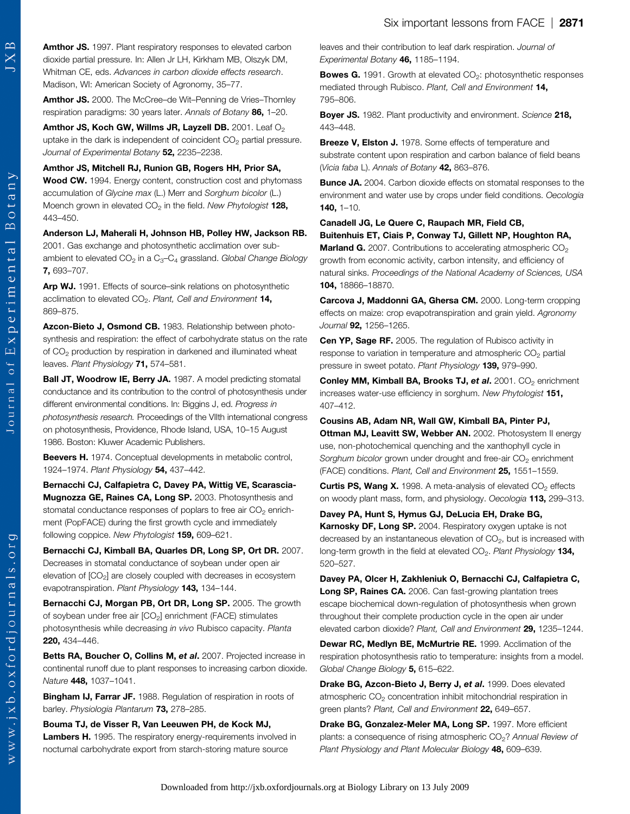Amthor JS. 1997. Plant respiratory responses to elevated carbon dioxide partial pressure. In: Allen Jr LH, Kirkham MB, Olszyk DM, Whitman CE, eds. Advances in carbon dioxide effects research. Madison, WI: American Society of Agronomy, 35–77.

Amthor JS. 2000. The McCree-de Wit-Penning de Vries-Thornley respiration paradigms: 30 years later. Annals of Botany 86, 1-20.

Amthor JS, Koch GW, Willms JR, Layzell DB. 2001. Leaf O<sub>2</sub> uptake in the dark is independent of coincident  $CO<sub>2</sub>$  partial pressure. Journal of Experimental Botany 52, 2235-2238.

Amthor JS, Mitchell RJ, Runion GB, Rogers HH, Prior SA, Wood CW. 1994. Energy content, construction cost and phytomass accumulation of Glycine max (L.) Merr and Sorghum bicolor (L.) Moench grown in elevated  $CO<sub>2</sub>$  in the field. New Phytologist 128, 443–450.

### Anderson LJ, Maherali H, Johnson HB, Polley HW, Jackson RB. 2001. Gas exchange and photosynthetic acclimation over subambient to elevated  $CO_2$  in a  $C_3-C_4$  grassland. Global Change Biology 7, 693–707.

Arp WJ. 1991. Effects of source-sink relations on photosynthetic acclimation to elevated  $CO<sub>2</sub>$ . Plant, Cell and Environment 14, 869–875.

Azcon-Bieto J, Osmond CB. 1983. Relationship between photosynthesis and respiration: the effect of carbohydrate status on the rate of  $CO<sub>2</sub>$  production by respiration in darkened and illuminated wheat leaves. Plant Physiology 71, 574-581.

Ball JT, Woodrow IE, Berry JA. 1987. A model predicting stomatal conductance and its contribution to the control of photosynthesis under different environmental conditions. In: Biggins J, ed. Progress in photosynthesis research. Proceedings of the VIIth international congress on photosynthesis, Providence, Rhode Island, USA, 10–15 August 1986. Boston: Kluwer Academic Publishers.

Beevers H. 1974. Conceptual developments in metabolic control, 1924–1974. Plant Physiology 54, 437–442.

Bernacchi CJ, Calfapietra C, Davey PA, Wittig VE, Scarascia-Mugnozza GE, Raines CA, Long SP. 2003. Photosynthesis and stomatal conductance responses of poplars to free air  $CO<sub>2</sub>$  enrichment (PopFACE) during the first growth cycle and immediately following coppice. New Phytologist 159, 609-621.

Bernacchi CJ, Kimball BA, Quarles DR, Long SP, Ort DR. 2007. Decreases in stomatal conductance of soybean under open air elevation of  $[CO<sub>2</sub>]$  are closely coupled with decreases in ecosystem evapotranspiration. Plant Physiology 143, 134-144.

Bernacchi CJ, Morgan PB, Ort DR, Long SP. 2005. The growth of soybean under free air [CO<sub>2</sub>] enrichment (FACE) stimulates photosynthesis while decreasing in vivo Rubisco capacity. Planta 220, 434–446.

Betts RA, Boucher O, Collins M, et al. 2007. Projected increase in continental runoff due to plant responses to increasing carbon dioxide. Nature 448, 1037–1041.

Bingham IJ, Farrar JF. 1988. Regulation of respiration in roots of barley. Physiologia Plantarum 73, 278-285.

Bouma TJ, de Visser R, Van Leeuwen PH, de Kock MJ, Lambers H. 1995. The respiratory energy-requirements involved in nocturnal carbohydrate export from starch-storing mature source

leaves and their contribution to leaf dark respiration. Journal of Experimental Botany 46, 1185–1194.

**Bowes G.** 1991. Growth at elevated  $CO<sub>2</sub>$ : photosynthetic responses mediated through Rubisco. Plant, Cell and Environment 14. 795–806.

Boyer JS. 1982. Plant productivity and environment. Science 218, 443–448.

Breeze V, Elston J. 1978. Some effects of temperature and substrate content upon respiration and carbon balance of field beans (Vicia faba L). Annals of Botany 42, 863–876.

**Bunce JA.** 2004. Carbon dioxide effects on stomatal responses to the environment and water use by crops under field conditions. Oecologia 140, 1–10.

# Canadell JG, Le Quere C, Raupach MR, Field CB,

Buitenhuis ET, Ciais P, Conway TJ, Gillett NP, Houghton RA, Marland G. 2007. Contributions to accelerating atmospheric CO<sub>2</sub> growth from economic activity, carbon intensity, and efficiency of natural sinks. Proceedings of the National Academy of Sciences, USA 104, 18866–18870.

Carcova J, Maddonni GA, Ghersa CM. 2000. Long-term cropping effects on maize: crop evapotranspiration and grain yield. Agronomy Journal 92, 1256–1265.

Cen YP, Sage RF. 2005. The regulation of Rubisco activity in response to variation in temperature and atmospheric  $CO<sub>2</sub>$  partial pressure in sweet potato. Plant Physiology 139, 979-990.

Conley MM, Kimball BA, Brooks TJ, et al. 2001. CO<sub>2</sub> enrichment increases water-use efficiency in sorghum. New Phytologist 151, 407–412.

Cousins AB, Adam NR, Wall GW, Kimball BA, Pinter PJ, Ottman MJ, Leavitt SW, Webber AN. 2002. Photosystem II energy use, non-photochemical quenching and the xanthophyll cycle in Sorghum bicolor grown under drought and free-air CO<sub>2</sub> enrichment (FACE) conditions. Plant, Cell and Environment 25, 1551–1559.

**Curtis PS, Wang X.** 1998. A meta-analysis of elevated  $CO<sub>2</sub>$  effects on woody plant mass, form, and physiology. Oecologia 113, 299–313.

Davey PA, Hunt S, Hymus GJ, DeLucia EH, Drake BG, Karnosky DF, Long SP. 2004. Respiratory oxygen uptake is not decreased by an instantaneous elevation of  $CO<sub>2</sub>$ , but is increased with long-term growth in the field at elevated  $CO<sub>2</sub>$ . Plant Physiology 134, 520–527.

Davey PA, Olcer H, Zakhleniuk O, Bernacchi CJ, Calfapietra C, Long SP, Raines CA. 2006. Can fast-growing plantation trees escape biochemical down-regulation of photosynthesis when grown throughout their complete production cycle in the open air under elevated carbon dioxide? Plant, Cell and Environment 29, 1235–1244.

Dewar RC, Medlyn BE, McMurtrie RE. 1999. Acclimation of the respiration photosynthesis ratio to temperature: insights from a model. Global Change Biology 5, 615-622.

Drake BG, Azcon-Bieto J, Berry J, et al. 1999. Does elevated atmospheric CO<sub>2</sub> concentration inhibit mitochondrial respiration in green plants? Plant, Cell and Environment 22, 649-657.

Drake BG, Gonzalez-Meler MA, Long SP. 1997. More efficient plants: a consequence of rising atmospheric CO<sub>2</sub>? Annual Review of Plant Physiology and Plant Molecular Biology 48, 609-639.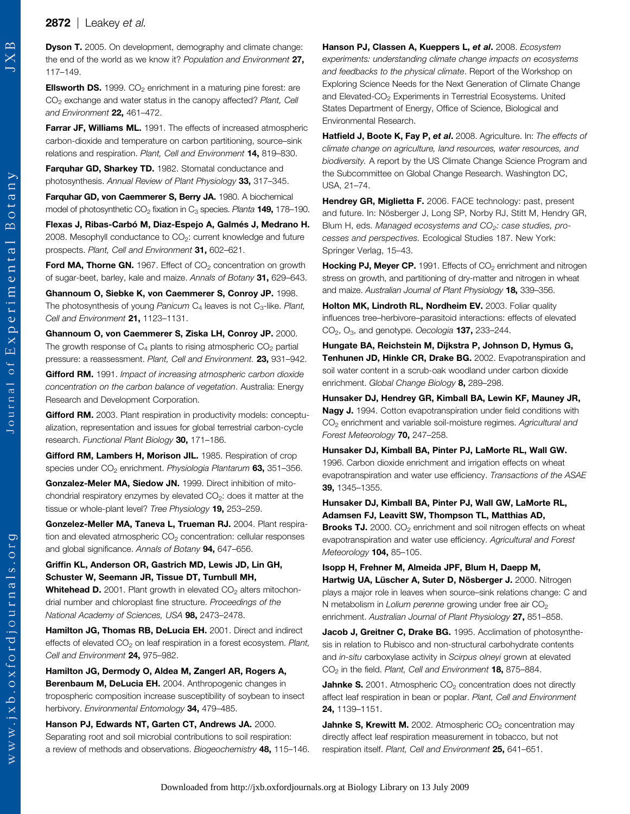otany

 $\mathbbmss{}$ 

Journal of Experimental

www.jxb.oxfordjournals.org

**Dyson T.** 2005. On development, demography and climate change: the end of the world as we know it? Population and Environment 27, 117–149.

**Ellsworth DS.** 1999.  $CO<sub>2</sub>$  enrichment in a maturing pine forest: are CO<sub>2</sub> exchange and water status in the canopy affected? Plant, Cell and Environment 22, 461-472.

Farrar JF, Williams ML. 1991. The effects of increased atmospheric carbon-dioxide and temperature on carbon partitioning, source–sink relations and respiration. Plant, Cell and Environment 14, 819–830.

Farquhar GD, Sharkey TD. 1982. Stomatal conductance and photosynthesis. Annual Review of Plant Physiology 33, 317–345.

Farquhar GD, von Caemmerer S, Berry JA. 1980. A biochemical model of photosynthetic  $CO<sub>2</sub>$  fixation in  $C<sub>3</sub>$  species. Planta **149,** 178–190.

Flexas J, Ribas-Carbó M, Diaz-Espejo A, Galmés J, Medrano H. 2008. Mesophyll conductance to  $CO<sub>2</sub>$ : current knowledge and future prospects. Plant, Cell and Environment 31, 602–621.

**Ford MA, Thorne GN.** 1967. Effect of  $CO<sub>2</sub>$  concentration on growth of sugar-beet, barley, kale and maize. Annals of Botany 31, 629-643.

Ghannoum O, Siebke K, von Caemmerer S, Conroy JP. 1998. The photosynthesis of young Panicum  $C_4$  leaves is not  $C_3$ -like. Plant, Cell and Environment 21, 1123-1131.

Ghannoum O, von Caemmerer S, Ziska LH, Conroy JP. 2000. The growth response of  $C_4$  plants to rising atmospheric  $CO_2$  partial pressure: a reassessment. Plant, Cell and Environment. 23, 931–942.

Gifford RM. 1991. Impact of increasing atmospheric carbon dioxide concentration on the carbon balance of vegetation. Australia: Energy Research and Development Corporation.

Gifford RM. 2003. Plant respiration in productivity models: conceptualization, representation and issues for global terrestrial carbon-cycle research. Functional Plant Biology 30. 171-186.

Gifford RM, Lambers H, Morison JIL. 1985. Respiration of crop species under CO<sub>2</sub> enrichment. Physiologia Plantarum 63, 351-356.

Gonzalez-Meler MA, Siedow JN. 1999. Direct inhibition of mitochondrial respiratory enzymes by elevated  $CO<sub>2</sub>$ : does it matter at the tissue or whole-plant level? Tree Physiology 19, 253-259.

Gonzelez-Meller MA, Taneva L, Trueman RJ. 2004. Plant respiration and elevated atmospheric  $CO<sub>2</sub>$  concentration: cellular responses and global significance. Annals of Botany 94, 647-656.

### Griffin KL, Anderson OR, Gastrich MD, Lewis JD, Lin GH, Schuster W, Seemann JR, Tissue DT, Turnbull MH,

**Whitehead D.** 2001. Plant growth in elevated  $CO<sub>2</sub>$  alters mitochondrial number and chloroplast fine structure. Proceedings of the National Academy of Sciences, USA 98, 2473-2478.

Hamilton JG, Thomas RB, DeLucia EH. 2001. Direct and indirect effects of elevated  $CO<sub>2</sub>$  on leaf respiration in a forest ecosystem. Plant, Cell and Environment 24, 975–982.

Hamilton JG, Dermody O, Aldea M, Zangerl AR, Rogers A, Berenbaum M, DeLucia EH. 2004. Anthropogenic changes in tropospheric composition increase susceptibility of soybean to insect herbivory. Environmental Entomology 34, 479-485.

Hanson PJ, Edwards NT, Garten CT, Andrews JA. 2000. Separating root and soil microbial contributions to soil respiration: a review of methods and observations. Biogeochemistry 48. 115-146. Hanson PJ, Classen A, Kueppers L, et al. 2008. Ecosystem experiments: understanding climate change impacts on ecosystems and feedbacks to the physical climate. Report of the Workshop on Exploring Science Needs for the Next Generation of Climate Change and Elevated-CO<sub>2</sub> Experiments in Terrestrial Ecosystems. United States Department of Energy, Office of Science, Biological and Environmental Research.

Hatfield J, Boote K, Fay P, et al. 2008. Agriculture. In: The effects of climate change on agriculture, land resources, water resources, and biodiversity. A report by the US Climate Change Science Program and the Subcommittee on Global Change Research. Washington DC, USA, 21–74.

Hendrey GR, Miglietta F. 2006. FACE technology: past, present and future. In: Nösberger J, Long SP, Norby RJ, Stitt M, Hendry GR, Blum H, eds. Managed ecosystems and  $CO<sub>2</sub>$ : case studies, processes and perspectives. Ecological Studies 187. New York: Springer Verlag, 15–43.

**Hocking PJ, Meyer CP.** 1991. Effects of  $CO<sub>2</sub>$  enrichment and nitrogen stress on growth, and partitioning of dry-matter and nitrogen in wheat and maize. Australian Journal of Plant Physiology 18, 339-356.

Holton MK, Lindroth RL, Nordheim EV. 2003. Foliar quality influences tree–herbivore–parasitoid interactions: effects of elevated  $CO<sub>2</sub>, O<sub>3</sub>$ , and genotype. Oecologia **137,** 233–244.

Hungate BA, Reichstein M, Dijkstra P, Johnson D, Hymus G, Tenhunen JD, Hinkle CR, Drake BG. 2002. Evapotranspiration and soil water content in a scrub-oak woodland under carbon dioxide enrichment. Global Change Biology 8, 289-298.

Hunsaker DJ, Hendrey GR, Kimball BA, Lewin KF, Mauney JR, Nagy J. 1994. Cotton evapotranspiration under field conditions with CO<sub>2</sub> enrichment and variable soil-moisture regimes. Agricultural and Forest Meteorology 70, 247–258.

Hunsaker DJ, Kimball BA, Pinter PJ, LaMorte RL, Wall GW. 1996. Carbon dioxide enrichment and irrigation effects on wheat evapotranspiration and water use efficiency. Transactions of the ASAE 39, 1345–1355.

Hunsaker DJ, Kimball BA, Pinter PJ, Wall GW, LaMorte RL, Adamsen FJ, Leavitt SW, Thompson TL, Matthias AD,

Brooks TJ. 2000. CO<sub>2</sub> enrichment and soil nitrogen effects on wheat evapotranspiration and water use efficiency. Agricultural and Forest Meteorology 104, 85-105.

Isopp H, Frehner M, Almeida JPF, Blum H, Daepp M, Hartwig UA, Lüscher A, Suter D, Nösberger J. 2000. Nitrogen plays a major role in leaves when source–sink relations change: C and N metabolism in Lolium perenne growing under free air  $CO<sub>2</sub>$ enrichment. Australian Journal of Plant Physiology 27, 851-858.

Jacob J, Greitner C, Drake BG. 1995. Acclimation of photosynthesis in relation to Rubisco and non-structural carbohydrate contents and in-situ carboxylase activity in Scirpus olneyi grown at elevated CO<sub>2</sub> in the field. Plant, Cell and Environment 18, 875-884.

**Jahnke S.** 2001. Atmospheric  $CO<sub>2</sub>$  concentration does not directly affect leaf respiration in bean or poplar. Plant, Cell and Environment 24, 1139–1151.

**Jahnke S. Krewitt M.** 2002. Atmospheric  $CO<sub>2</sub>$  concentration may directly affect leaf respiration measurement in tobacco, but not respiration itself. Plant, Cell and Environment 25, 641–651.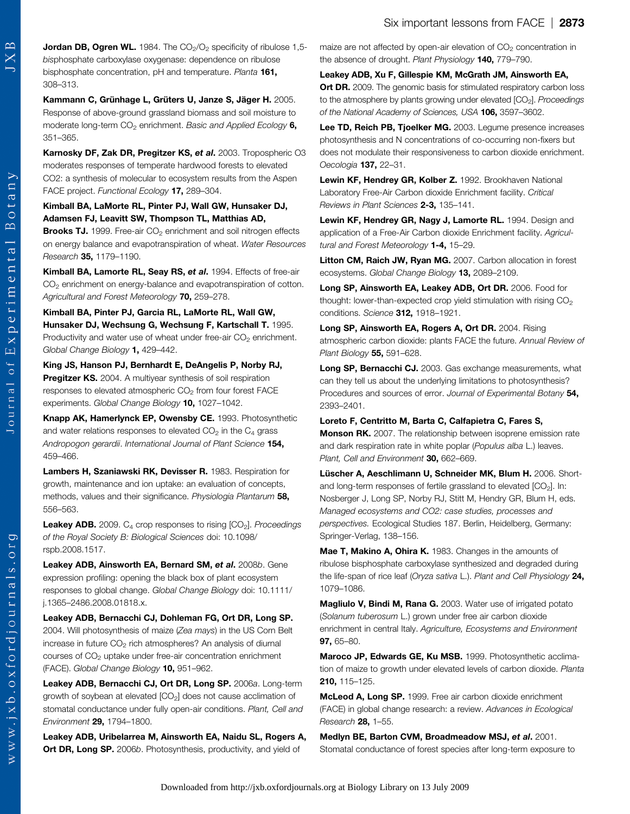Botany

Journal of Experimental

**Jordan DB, Ogren WL.** 1984. The  $CO<sub>2</sub>/O<sub>2</sub>$  specificity of ribulose 1,5bisphosphate carboxylase oxygenase: dependence on ribulose bisphosphate concentration, pH and temperature. Planta 161, 308–313.

Kammann C, Grünhage L, Grüters U, Janze S, Jäger H. 2005. Response of above-ground grassland biomass and soil moisture to moderate long-term  $CO<sub>2</sub>$  enrichment. Basic and Applied Ecology 6, 351–365.

Karnosky DF, Zak DR, Pregitzer KS, et al. 2003. Tropospheric O3 moderates responses of temperate hardwood forests to elevated CO2: a synthesis of molecular to ecosystem results from the Aspen FACE project. Functional Ecology 17, 289–304.

## Kimball BA, LaMorte RL, Pinter PJ, Wall GW, Hunsaker DJ, Adamsen FJ, Leavitt SW, Thompson TL, Matthias AD,

**Brooks TJ.** 1999. Free-air  $CO<sub>2</sub>$  enrichment and soil nitrogen effects on energy balance and evapotranspiration of wheat. Water Resources Research 35, 1179–1190.

Kimball BA, Lamorte RL, Seay RS, et al. 1994. Effects of free-air CO<sub>2</sub> enrichment on energy-balance and evapotranspiration of cotton. Agricultural and Forest Meteorology 70, 259-278.

Kimball BA, Pinter PJ, Garcia RL, LaMorte RL, Wall GW, Hunsaker DJ, Wechsung G, Wechsung F, Kartschall T. 1995. Productivity and water use of wheat under free-air  $CO<sub>2</sub>$  enrichment. Global Change Biology 1, 429-442.

King JS, Hanson PJ, Bernhardt E, DeAngelis P, Norby RJ, Pregitzer KS. 2004. A multiyear synthesis of soil respiration responses to elevated atmospheric CO<sub>2</sub> from four forest FACE experiments. Global Change Biology 10, 1027-1042.

Knapp AK, Hamerlynck EP, Owensby CE. 1993. Photosynthetic and water relations responses to elevated  $CO<sub>2</sub>$  in the  $C<sub>4</sub>$  grass Andropogon gerardii. International Journal of Plant Science 154, 459–466.

Lambers H, Szaniawski RK, Devisser R. 1983. Respiration for growth, maintenance and ion uptake: an evaluation of concepts, methods, values and their significance. Physiologia Plantarum 58, 556–563.

**Leakey ADB.** 2009.  $C_4$  crop responses to rising  $[CO_2]$ . Proceedings of the Royal Society B: Biological Sciences doi: 10.1098/ rspb.2008.1517.

Leakey ADB, Ainsworth EA, Bernard SM, et al. 2008b. Gene expression profiling: opening the black box of plant ecosystem responses to global change. Global Change Biology doi: 10.1111/ j.1365–2486.2008.01818.x.

Leakey ADB, Bernacchi CJ, Dohleman FG, Ort DR, Long SP. 2004. Will photosynthesis of maize (Zea mays) in the US Corn Belt increase in future  $CO<sub>2</sub>$  rich atmospheres? An analysis of diurnal courses of CO<sub>2</sub> uptake under free-air concentration enrichment (FACE). Global Change Biology 10, 951–962.

Leakey ADB, Bernacchi CJ, Ort DR, Long SP. 2006a. Long-term growth of soybean at elevated [CO<sub>2</sub>] does not cause acclimation of stomatal conductance under fully open-air conditions. Plant, Cell and Environment 29, 1794–1800.

Leakey ADB, Uribelarrea M, Ainsworth EA, Naidu SL, Rogers A, **Ort DR, Long SP,** 2006b. Photosynthesis, productivity, and yield of

maize are not affected by open-air elevation of  $CO<sub>2</sub>$  concentration in the absence of drought. Plant Physiology 140, 779-790.

Leakey ADB, Xu F, Gillespie KM, McGrath JM, Ainsworth EA, **Ort DR.** 2009. The genomic basis for stimulated respiratory carbon loss to the atmosphere by plants growing under elevated [CO<sub>2</sub>]. Proceedings of the National Academy of Sciences, USA 106, 3597–3602.

Lee TD, Reich PB, Tjoelker MG. 2003. Legume presence increases photosynthesis and N concentrations of co-occurring non-fixers but does not modulate their responsiveness to carbon dioxide enrichment. Oecologia 137, 22–31.

Lewin KF. Hendrey GR. Kolber Z. 1992. Brookhaven National Laboratory Free-Air Carbon dioxide Enrichment facility. Critical Reviews in Plant Sciences 2-3, 135–141.

Lewin KF, Hendrey GR, Nagy J, Lamorte RL. 1994. Design and application of a Free-Air Carbon dioxide Enrichment facility. Agricultural and Forest Meteorology 1-4, 15-29.

Litton CM, Raich JW, Rvan MG, 2007. Carbon allocation in forest ecosystems. Global Change Biology 13, 2089-2109.

Long SP, Ainsworth EA, Leakey ADB, Ort DR. 2006. Food for thought: lower-than-expected crop yield stimulation with rising  $CO<sub>2</sub>$ conditions. Science 312, 1918-1921.

Long SP, Ainsworth EA, Rogers A, Ort DR. 2004. Rising atmospheric carbon dioxide: plants FACE the future. Annual Review of Plant Biology 55, 591-628.

Long SP, Bernacchi CJ. 2003. Gas exchange measurements, what can they tell us about the underlying limitations to photosynthesis? Procedures and sources of error. Journal of Experimental Botany 54, 2393–2401.

Loreto F, Centritto M, Barta C, Calfapietra C, Fares S, Monson RK. 2007. The relationship between isoprene emission rate and dark respiration rate in white poplar (Populus alba L.) leaves. Plant, Cell and Environment 30, 662-669.

Lüscher A, Aeschlimann U, Schneider MK, Blum H. 2006. Shortand long-term responses of fertile grassland to elevated  $[CO<sub>2</sub>]$ . In: Nosberger J, Long SP, Norby RJ, Stitt M, Hendry GR, Blum H, eds. Managed ecosystems and CO2: case studies, processes and perspectives. Ecological Studies 187. Berlin, Heidelberg, Germany: Springer-Verlag, 138–156.

Mae T, Makino A, Ohira K. 1983. Changes in the amounts of ribulose bisphosphate carboxylase synthesized and degraded during the life-span of rice leaf (Oryza sativa L.). Plant and Cell Physiology 24, 1079–1086.

Magliulo V, Bindi M, Rana G. 2003. Water use of irrigated potato (Solanum tuberosum L.) grown under free air carbon dioxide enrichment in central Italy. Agriculture, Ecosystems and Environment 97, 65–80.

Maroco JP, Edwards GE, Ku MSB. 1999. Photosynthetic acclimation of maize to growth under elevated levels of carbon dioxide. Planta 210, 115–125.

McLeod A, Long SP. 1999. Free air carbon dioxide enrichment (FACE) in global change research: a review. Advances in Ecological Research **28, 1-55.** 

Medlyn BE, Barton CVM, Broadmeadow MSJ, et al. 2001. Stomatal conductance of forest species after long-term exposure to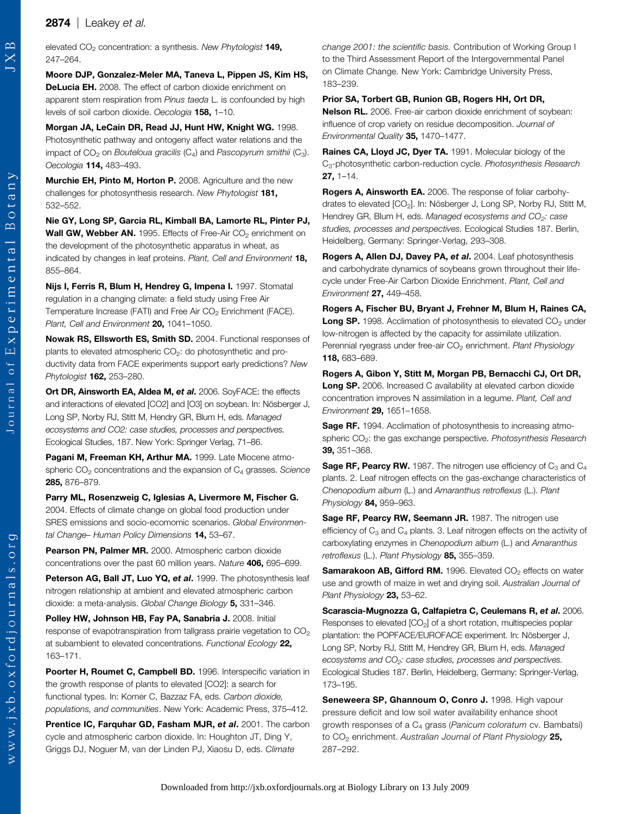elevated  $CO<sub>2</sub>$  concentration: a synthesis. New Phytologist 149, 247–264.

Moore DJP, Gonzalez-Meler MA, Taneva L, Pippen JS, Kim HS, DeLucia EH. 2008. The effect of carbon dioxide enrichment on apparent stem respiration from Pinus taeda L. is confounded by high levels of soil carbon dioxide. Oecologia 158, 1–10.

Morgan JA, LeCain DR, Read JJ, Hunt HW, Knight WG. 1998. Photosynthetic pathway and ontogeny affect water relations and the impact of  $CO<sub>2</sub>$  on Bouteloua gracilis  $(C<sub>4</sub>)$  and Pascopyrum smithii  $(C<sub>3</sub>)$ . Oecologia 114, 483–493.

Murchie EH, Pinto M, Horton P. 2008. Agriculture and the new challenges for photosynthesis research. New Phytologist 181, 532–552.

Nie GY, Long SP, Garcia RL, Kimball BA, Lamorte RL, Pinter PJ, Wall GW, Webber AN. 1995. Effects of Free-Air CO<sub>2</sub> enrichment on the development of the photosynthetic apparatus in wheat, as indicated by changes in leaf proteins. Plant, Cell and Environment 18, 855–864.

Nijs I, Ferris R, Blum H, Hendrey G, Impena I. 1997. Stomatal regulation in a changing climate: a field study using Free Air Temperature Increase (FATI) and Free Air CO<sub>2</sub> Enrichment (FACE). Plant, Cell and Environment 20, 1041-1050.

Nowak RS, Ellsworth ES, Smith SD. 2004. Functional responses of plants to elevated atmospheric CO<sub>2</sub>: do photosynthetic and productivity data from FACE experiments support early predictions? New Phytologist 162, 253–280.

Ort DR, Ainsworth EA, Aldea M, et al. 2006. SoyFACE: the effects and interactions of elevated [CO2] and [O3] on soybean. In: Nösberger J, Long SP, Norby RJ, Stitt M, Hendry GR, Blum H, eds. Managed ecosystems and CO2: case studies, processes and perspectives. Ecological Studies, 187. New York: Springer Verlag, 71–86.

Pagani M, Freeman KH, Arthur MA. 1999. Late Miocene atmospheric  $CO<sub>2</sub>$  concentrations and the expansion of  $C<sub>4</sub>$  grasses. Science 285, 876–879.

Parry ML, Rosenzweig C, Iglesias A, Livermore M, Fischer G. 2004. Effects of climate change on global food production under SRES emissions and socio-ecomomic scenarios. Global Environmental Change- Human Policy Dimensions 14, 53-67.

Pearson PN, Palmer MR. 2000. Atmospheric carbon dioxide concentrations over the past 60 million years. Nature 406, 695–699.

Peterson AG, Ball JT, Luo YQ, et al. 1999. The photosynthesis leaf nitrogen relationship at ambient and elevated atmospheric carbon dioxide: a meta-analysis. Global Change Biology 5, 331–346.

Polley HW, Johnson HB, Fay PA, Sanabria J. 2008. Initial response of evapotranspiration from tallgrass prairie vegetation to CO<sub>2</sub> at subambient to elevated concentrations. Functional Ecology 22, 163–171.

Poorter H, Roumet C, Campbell BD. 1996. Interspecific variation in the growth response of plants to elevated [CO2]: a search for functional types. In: Korner C, Bazzaz FA, eds. Carbon dioxide, populations, and communities. New York: Academic Press, 375–412.

Prentice IC, Farquhar GD, Fasham MJR, et al. 2001. The carbon cycle and atmospheric carbon dioxide. In: Houghton JT, Ding Y, Griggs DJ, Noguer M, van der Linden PJ, Xiaosu D, eds. Climate

change 2001: the scientific basis. Contribution of Working Group I to the Third Assessment Report of the Intergovernmental Panel on Climate Change. New York: Cambridge University Press, 183–239.

#### Prior SA, Torbert GB, Runion GB, Rogers HH, Ort DR,

Nelson RL. 2006. Free-air carbon dioxide enrichment of soybean: influence of crop variety on residue decomposition. Journal of Environmental Quality 35, 1470–1477.

Raines CA, Lloyd JC, Dyer TA. 1991. Molecular biology of the C<sub>3</sub>-photosynthetic carbon-reduction cycle. Photosynthesis Research 27, 1–14.

Rogers A, Ainsworth EA. 2006. The response of foliar carbohydrates to elevated [CO<sub>2</sub>]. In: Nösberger J, Long SP, Norby RJ, Stitt M, Hendrey GR, Blum H, eds. Managed ecosystems and CO<sub>2</sub>: case studies, processes and perspectives. Ecological Studies 187. Berlin, Heidelberg, Germany: Springer-Verlag, 293–308.

Rogers A, Allen DJ, Davey PA, et al. 2004. Leaf photosynthesis and carbohydrate dynamics of soybeans grown throughout their lifecycle under Free-Air Carbon Dioxide Enrichment. Plant, Cell and Environment 27, 449–458.

Rogers A, Fischer BU, Bryant J, Frehner M, Blum H, Raines CA, **Long SP.** 1998. Acclimation of photosynthesis to elevated  $CO<sub>2</sub>$  under low-nitrogen is affected by the capacity for assimilate utilization. Perennial ryegrass under free-air CO<sub>2</sub> enrichment. Plant Physiology 118, 683–689.

Rogers A, Gibon Y, Stitt M, Morgan PB, Bernacchi CJ, Ort DR, Long SP. 2006. Increased C availability at elevated carbon dioxide concentration improves N assimilation in a legume. Plant, Cell and Environment 29, 1651–1658.

**Sage RF.** 1994. Acclimation of photosynthesis to increasing atmospheric CO<sub>2</sub>: the gas exchange perspective. Photosynthesis Research 39, 351–368.

**Sage RF, Pearcy RW.** 1987. The nitrogen use efficiency of  $C_3$  and  $C_4$ plants. 2. Leaf nitrogen effects on the gas-exchange characteristics of Chenopodium album (L.) and Amaranthus retroflexus (L.). Plant Physiology 84, 959-963.

Sage RF, Pearcy RW, Seemann JR. 1987. The nitrogen use efficiency of  $C_3$  and  $C_4$  plants. 3. Leaf nitrogen effects on the activity of carboxylating enzymes in Chenopodium album (L.) and Amaranthus retroflexus (L.). Plant Physiology 85, 355-359.

**Samarakoon AB, Gifford RM.** 1996. Elevated  $CO<sub>2</sub>$  effects on water use and growth of maize in wet and drying soil. Australian Journal of Plant Physiology 23, 53-62.

Scarascia-Mugnozza G, Calfapietra C, Ceulemans R, et al. 2006. Responses to elevated [CO<sub>2</sub>] of a short rotation, multispecies poplar plantation: the POPFACE/EUROFACE experiment. In: Nösberger J, Long SP, Norby RJ, Stitt M, Hendrey GR, Blum H, eds. Managed ecosystems and CO<sub>2</sub>: case studies, processes and perspectives. Ecological Studies 187. Berlin, Heidelberg, Germany: Springer-Verlag, 173–195.

Seneweera SP. Ghannoum O. Conro J. 1998. High vapour pressure deficit and low soil water availability enhance shoot growth responses of a C<sub>4</sub> grass (Panicum coloratum cv. Bambatsi) to CO<sub>2</sub> enrichment. Australian Journal of Plant Physiology 25. 287–292.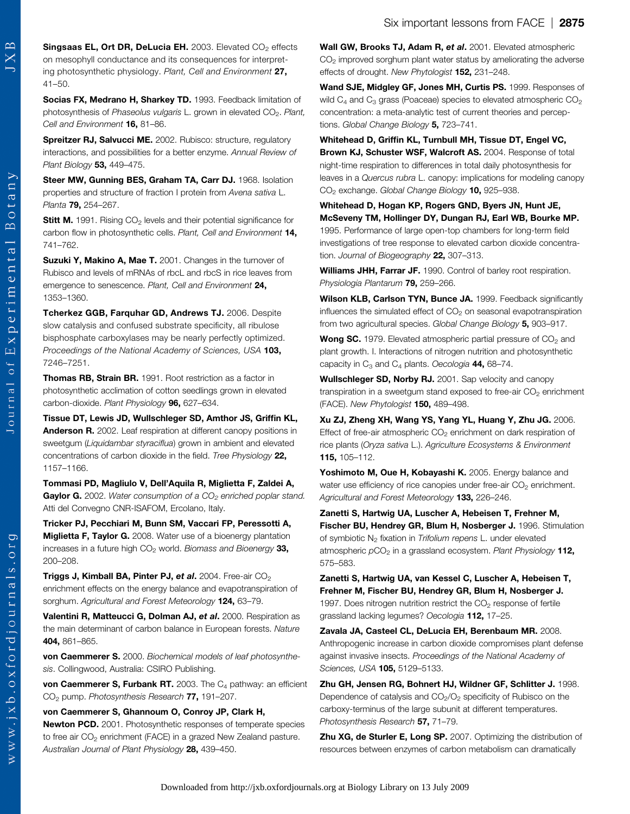Singsaas EL, Ort DR, DeLucia EH. 2003. Elevated  $CO<sub>2</sub>$  effects on mesophyll conductance and its consequences for interpreting photosynthetic physiology. Plant, Cell and Environment 27, 41–50.

Socias FX, Medrano H, Sharkey TD. 1993. Feedback limitation of photosynthesis of Phaseolus vulgaris L. grown in elevated CO<sub>2</sub>. Plant, Cell and Environment 16, 81-86.

Spreitzer RJ, Salvucci ME. 2002. Rubisco: structure, regulatory interactions, and possibilities for a better enzyme. Annual Review of Plant Biology 53, 449-475.

Steer MW, Gunning BES, Graham TA, Carr DJ. 1968. Isolation properties and structure of fraction I protein from Avena sativa L. Planta **79,** 254-267.

**Stitt M.** 1991. Rising  $CO<sub>2</sub>$  levels and their potential significance for carbon flow in photosynthetic cells. Plant, Cell and Environment 14, 741–762.

Suzuki Y, Makino A, Mae T. 2001. Changes in the turnover of Rubisco and levels of mRNAs of rbcL and rbcS in rice leaves from emergence to senescence. Plant, Cell and Environment 24, 1353–1360.

Tcherkez GGB, Farquhar GD, Andrews TJ. 2006. Despite slow catalysis and confused substrate specificity, all ribulose bisphosphate carboxylases may be nearly perfectly optimized. Proceedings of the National Academy of Sciences, USA 103, 7246–7251.

Thomas RB, Strain BR. 1991. Root restriction as a factor in photosynthetic acclimation of cotton seedlings grown in elevated carbon-dioxide. Plant Physiology 96, 627–634.

Tissue DT, Lewis JD, Wullschleger SD, Amthor JS, Griffin KL, Anderson R. 2002. Leaf respiration at different canopy positions in sweetgum (Liquidambar styraciflua) grown in ambient and elevated concentrations of carbon dioxide in the field. Tree Physiology 22, 1157–1166.

Tommasi PD, Magliulo V, Dell'Aquila R, Miglietta F, Zaldei A, **Gaylor G.** 2002. Water consumption of a  $CO<sub>2</sub>$  enriched poplar stand. Atti del Convegno CNR-ISAFOM, Ercolano, Italy.

Tricker PJ, Pecchiari M, Bunn SM, Vaccari FP, Peressotti A, **Miglietta F, Taylor G.** 2008. Water use of a bioenergy plantation increases in a future high  $CO<sub>2</sub>$  world. Biomass and Bioenergy 33, 200–208.

Triggs J, Kimball BA, Pinter PJ, et al. 2004. Free-air CO<sub>2</sub> enrichment effects on the energy balance and evapotranspiration of sorghum. Agricultural and Forest Meteorology 124, 63-79.

Valentini R, Matteucci G, Dolman AJ, et al. 2000. Respiration as the main determinant of carbon balance in European forests. Nature 404, 861–865.

von Caemmerer S. 2000. Biochemical models of leaf photosynthesis. Collingwood, Australia: CSIRO Publishing.

von Caemmerer S, Furbank RT. 2003. The  $C_4$  pathway: an efficient CO<sub>2</sub> pump. Photosynthesis Research 77, 191-207.

von Caemmerer S, Ghannoum O, Conroy JP, Clark H, Newton PCD. 2001. Photosynthetic responses of temperate species to free air CO<sub>2</sub> enrichment (FACE) in a grazed New Zealand pasture. Australian Journal of Plant Physiology 28, 439-450.

Wall GW, Brooks TJ, Adam R, et al. 2001. Elevated atmospheric  $CO<sub>2</sub>$  improved sorghum plant water status by ameliorating the adverse effects of drought. New Phytologist 152, 231–248.

Wand SJE, Midgley GF, Jones MH, Curtis PS. 1999. Responses of wild  $C_4$  and  $C_3$  grass (Poaceae) species to elevated atmospheric  $CO<sub>2</sub>$ concentration: a meta-analytic test of current theories and perceptions. Global Change Biology 5, 723-741.

Whitehead D, Griffin KL, Turnbull MH, Tissue DT, Engel VC, Brown KJ, Schuster WSF, Walcroft AS. 2004. Response of total night-time respiration to differences in total daily photosynthesis for leaves in a Quercus rubra L. canopy: implications for modeling canopy CO<sub>2</sub> exchange. Global Change Biology 10, 925-938.

Whitehead D, Hogan KP, Rogers GND, Byers JN, Hunt JE, McSeveny TM, Hollinger DY, Dungan RJ, Earl WB, Bourke MP. 1995. Performance of large open-top chambers for long-term field investigations of tree response to elevated carbon dioxide concentration. Journal of Biogeography 22, 307-313.

Williams JHH, Farrar JF. 1990. Control of barley root respiration. Physiologia Plantarum 79, 259-266.

Wilson KLB, Carlson TYN, Bunce JA. 1999. Feedback significantly influences the simulated effect of  $CO<sub>2</sub>$  on seasonal evapotranspiration from two agricultural species. Global Change Biology 5, 903-917.

**Wong SC.** 1979. Elevated atmospheric partial pressure of  $CO<sub>2</sub>$  and plant growth. I. Interactions of nitrogen nutrition and photosynthetic capacity in  $C_3$  and  $C_4$  plants. Oecologia 44, 68–74.

Wullschleger SD, Norby RJ. 2001. Sap velocity and canopy transpiration in a sweetgum stand exposed to free-air  $CO<sub>2</sub>$  enrichment (FACE). New Phytologist 150, 489–498.

Xu ZJ, Zheng XH, Wang YS, Yang YL, Huang Y, Zhu JG. 2006. Effect of free-air atmospheric  $CO<sub>2</sub>$  enrichment on dark respiration of rice plants (Oryza sativa L.). Agriculture Ecosystems & Environment 115, 105–112.

Yoshimoto M, Oue H, Kobayashi K. 2005. Energy balance and water use efficiency of rice canopies under free-air  $CO<sub>2</sub>$  enrichment. Agricultural and Forest Meteorology 133, 226-246.

Zanetti S, Hartwig UA, Luscher A, Hebeisen T, Frehner M, Fischer BU, Hendrey GR, Blum H, Nosberger J. 1996. Stimulation of symbiotic  $N_2$  fixation in Trifolium repens L. under elevated atmospheric  $pCO<sub>2</sub>$  in a grassland ecosystem. Plant Physiology 112, 575–583.

Zanetti S, Hartwig UA, van Kessel C, Luscher A, Hebeisen T, Frehner M, Fischer BU, Hendrey GR, Blum H, Nosberger J. 1997. Does nitrogen nutrition restrict the  $CO<sub>2</sub>$  response of fertile grassland lacking legumes? Oecologia 112, 17–25.

Zavala JA, Casteel CL, DeLucia EH, Berenbaum MR. 2008. Anthropogenic increase in carbon dioxide compromises plant defense against invasive insects. Proceedings of the National Academy of Sciences, USA 105, 5129-5133.

Zhu GH, Jensen RG, Bohnert HJ, Wildner GF, Schlitter J. 1998. Dependence of catalysis and CO<sub>2</sub>/O<sub>2</sub> specificity of Rubisco on the carboxy-terminus of the large subunit at different temperatures. Photosynthesis Research 57, 71-79.

Zhu XG, de Sturler E, Long SP. 2007. Optimizing the distribution of resources between enzymes of carbon metabolism can dramatically